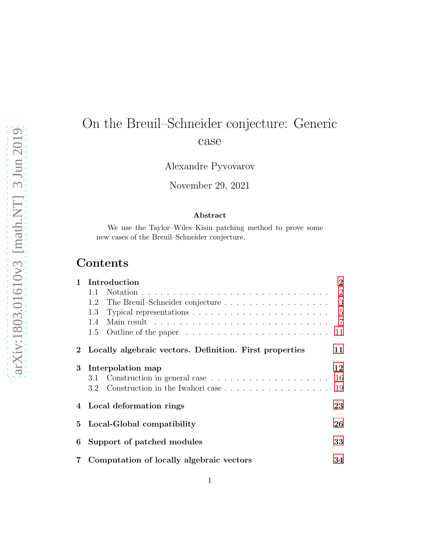# On the Breuil–Schneider conjecture: Generic case

Alexandre Pyvovarov

November 29, 2021

#### Abstract

We use the Taylor–Wiles–Kisin patching method to prove some new cases of the Breuil–Schneider conjecture.

# Contents

| 1        | Introduction                                                                         | $\bf{2}$       |
|----------|--------------------------------------------------------------------------------------|----------------|
|          | 1.1                                                                                  | $\overline{2}$ |
|          | The Breuil–Schneider conjecture $\ldots \ldots \ldots \ldots \ldots \ldots$ 3<br>1.2 |                |
|          | Typical representations $\ldots \ldots \ldots \ldots \ldots \ldots \ldots$<br>1.3    |                |
|          | 1.4                                                                                  | $\overline{7}$ |
|          | 1.5<br>Outline of the paper $\dots \dots \dots \dots \dots \dots \dots \dots$        | 11             |
|          | 2 Locally algebraic vectors. Definition. First properties                            | 11             |
| $\bf{3}$ | Interpolation map                                                                    | 12             |
|          | 3.1                                                                                  | 16             |
|          | Construction in the Iwahori case<br>$3.2^{\circ}$                                    | 19             |
|          | 4 Local deformation rings                                                            | 23             |
| 5        | Local-Global compatibility                                                           | 26             |
| 6        | Support of patched modules                                                           | 33             |
| 7        | Computation of locally algebraic vectors                                             | 34             |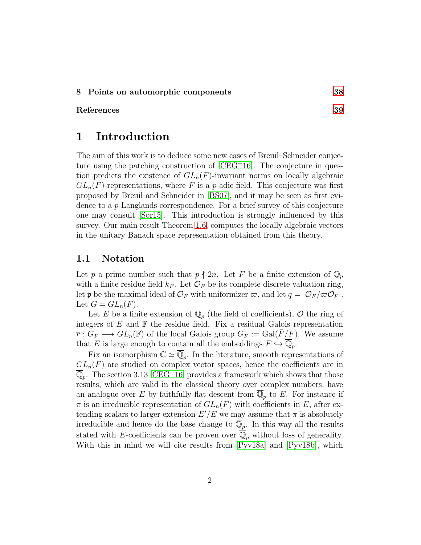#### 8 Points on automorphic components [38](#page-37-0)

#### <span id="page-1-0"></span>References [39](#page-38-0)

# 1 Introduction

The aim of this work is to deduce some new cases of Breuil–Schneider conjecture using the patching construction of [\[CEG](#page-40-0)<sup>+</sup>16]. The conjecture in question predicts the existence of  $GL_n(F)$ -invariant norms on locally algebraic  $GL_n(F)$ -representations, where F is a p-adic field. This conjecture was first proposed by Breuil and Schneider in [\[BS07\]](#page-40-1), and it may be seen as first evidence to a p-Langlands correspondence. For a brief survey of this conjecture one may consult [\[Sor15\]](#page-43-0). This introduction is strongly influenced by this survey. Our main result Theorem [1.6,](#page-9-0) computes the locally algebraic vectors in the unitary Banach space representation obtained from this theory.

### <span id="page-1-1"></span>1.1 Notation

Let p a prime number such that  $p \nmid 2n$ . Let F be a finite extension of  $\mathbb{Q}_p$ with a finite residue field  $k_F$ . Let  $\mathcal{O}_F$  be its complete discrete valuation ring, let **p** be the maximal ideal of  $\mathcal{O}_F$  with uniformizer  $\varpi$ , and let  $q = |\mathcal{O}_F/\varpi \mathcal{O}_F|$ . Let  $G = GL_n(F)$ .

Let E be a finite extension of  $\mathbb{Q}_p$  (the field of coefficients), O the ring of integers of  $E$  and  $\mathbb F$  the residue field. Fix a residual Galois representation  $\overline{r}: G_F \longrightarrow GL_n(\mathbb{F})$  of the local Galois group  $G_F := Gal(\overline{F}/F)$ . We assume that E is large enough to contain all the embeddings  $F \hookrightarrow \mathbb{Q}_p$ .

Fix an isomorphism  $\mathbb{C} \simeq \mathbb{Q}_p$ . In the literature, smooth representations of  $GL_n(F)$  are studied on complex vector spaces, hence the coefficients are in  $\overline{\mathbb{Q}}_p$ . The section 3.13 [\[CEG](#page-40-0)<sup>+</sup>16] provides a framework which shows that those results, which are valid in the classical theory over complex numbers, have an analogue over E by faithfully flat descent from  $\mathbb{Q}_p$  to E. For instance if  $\pi$  is an irreducible representation of  $GL_n(F)$  with coefficients in E, after extending scalars to larger extension  $E'/E$  we may assume that  $\pi$  is absolutely irreducible and hence do the base change to  $\mathbb{Q}_p$ . In this way all the results stated with E-coefficients can be proven over  $\overline{\mathbb{Q}}_p$  without loss of generality. With this in mind we will cite results from  $[Pyv18a]$  and  $[Pyv18b]$ , which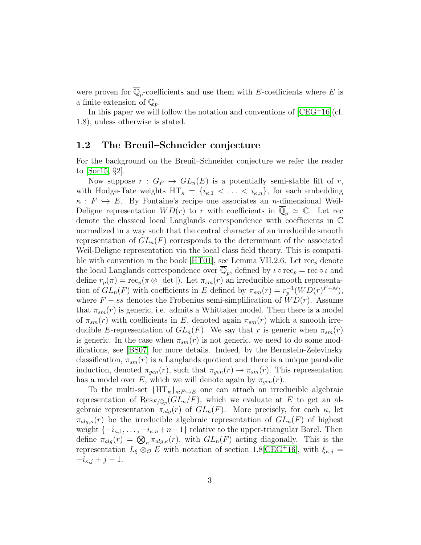were proven for  $\mathbb{Q}_p$ -coefficients and use them with E-coefficients where E is a finite extension of  $\mathbb{Q}_p$ .

In this paper we will follow the notation and conventions of  $[CEG^+16]$  (cf. 1.8), unless otherwise is stated.

### <span id="page-2-0"></span>1.2 The Breuil–Schneider conjecture

For the background on the Breuil–Schneider conjecture we refer the reader to [\[Sor15,](#page-43-0) §2].

Now suppose  $r: G_F \to GL_n(E)$  is a potentially semi-stable lift of  $\overline{r}$ , with Hodge-Tate weights  $HT_{\kappa} = \{i_{\kappa,1} < \ldots < i_{\kappa,n}\}\$ , for each embedding  $\kappa : F \hookrightarrow E$ . By Fontaine's recipe one associates an *n*-dimensional Weil-Deligne representation  $WD(r)$  to r with coefficients in  $\mathbb{Q}_p \simeq \mathbb{C}$ . Let rec denote the classical local Langlands correspondence with coefficients in C normalized in a way such that the central character of an irreducible smooth representation of  $GL_n(F)$  corresponds to the determinant of the associated Weil-Deligne representation via the local class field theory. This is compati-ble with convention in the book [\[HT01\]](#page-41-0), see Lemma VII.2.6. Let  $rec_p$  denote the local Langlands correspondence over  $\mathbb{Q}_p$ , defined by  $\iota \circ \text{rec}_p = \text{rec} \circ \iota$  and define  $r_p(\pi) = \text{rec}_p(\pi \otimes |\det|)$ . Let  $\pi_{sm}(r)$  an irreducible smooth representation of  $GL_n(F)$  with coefficients in E defined by  $\pi_{sm}(r) = r_p^{-1}(WD(r)^{F-ss}),$ where  $F - ss$  denotes the Frobenius semi-simplification of  $WD(r)$ . Assume that  $\pi_{sm}(r)$  is generic, i.e. admits a Whittaker model. Then there is a model of  $\pi_{sm}(r)$  with coefficients in E, denoted again  $\pi_{sm}(r)$  which a smooth irreducible E-representation of  $GL_n(F)$ . We say that r is generic when  $\pi_{sm}(r)$ is generic. In the case when  $\pi_{sm}(r)$  is not generic, we need to do some modifications, see [\[BS07\]](#page-40-1) for more details. Indeed, by the Bernstein-Zelevinsky classification,  $\pi_{sm}(r)$  is a Langlands quotient and there is a unique parabolic induction, denoted  $\pi_{gen}(r)$ , such that  $\pi_{gen}(r) \rightarrow \pi_{sm}(r)$ . This representation has a model over E, which we will denote again by  $\pi_{gen}(r)$ .

To the multi-set  ${HT<sub>\kappa</sub>}_{\kappa:F\hookrightarrow E}$  one can attach an irreducible algebraic representation of  $\text{Res}_{F/\mathbb{Q}_p}(GL_n/F)$ , which we evaluate at E to get an algebraic representation  $\pi_{alg}(r)$  of  $GL_n(F)$ . More precisely, for each  $\kappa$ , let  $\pi_{alg,\kappa}(r)$  be the irreducible algebraic representation of  $GL_n(F)$  of highest weight  $\{-i_{\kappa,1},\ldots,-i_{\kappa,n}+n-1\}$  relative to the upper-triangular Borel. Then define  $\pi_{alg}(r) = \bigotimes_{\kappa} \pi_{alg,\kappa}(r)$ , with  $GL_n(F)$  acting diagonally. This is the representation  $L_{\xi} \otimes_{\mathcal{O}} E$  with notation of section 1.8[\[CEG](#page-40-0)<sup>+</sup>16], with  $\xi_{\kappa,j} =$  $-i_{\kappa,j}+j-1.$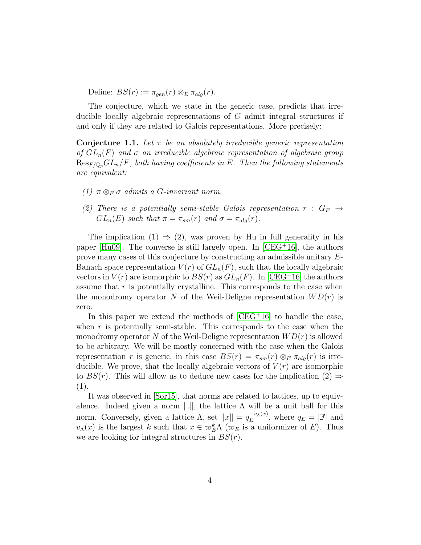Define:  $BS(r) := \pi_{gen}(r) \otimes_E \pi_{alg}(r)$ .

The conjecture, which we state in the generic case, predicts that irreducible locally algebraic representations of G admit integral structures if and only if they are related to Galois representations. More precisely:

**Conjecture 1.1.** Let  $\pi$  be an absolutely irreducible generic representation of  $GL_n(F)$  and  $\sigma$  an irreducible algebraic representation of algebraic group  $\text{Res}_{F/\mathbb{Q}_p}GL_n/F$ , both having coefficients in E. Then the following statements are equivalent:

- (1)  $\pi \otimes_E \sigma$  admits a G-invariant norm.
- (2) There is a potentially semi-stable Galois representation  $r : G_F \rightarrow$  $GL_n(E)$  such that  $\pi = \pi_{sm}(r)$  and  $\sigma = \pi_{alg}(r)$ .

The implication  $(1) \Rightarrow (2)$ , was proven by Hu in full generality in his paper  $[Hu09]$ . The converse is still largely open. In  $[CEG<sup>+</sup>16]$ , the authors prove many cases of this conjecture by constructing an admissible unitary E-Banach space representation  $V(r)$  of  $GL_n(F)$ , such that the locally algebraic vectors in  $V(r)$  are isomorphic to  $BS(r)$  as  $GL_n(F)$ . In [\[CEG](#page-40-0)+16] the authors assume that  $r$  is potentially crystalline. This corresponds to the case when the monodromy operator N of the Weil-Deligne representation  $WD(r)$  is zero.

In this paper we extend the methods of  $[CEG+16]$  to handle the case, when  $r$  is potentially semi-stable. This corresponds to the case when the monodromy operator N of the Weil-Deligne representation  $WD(r)$  is allowed to be arbitrary. We will be mostly concerned with the case when the Galois representation r is generic, in this case  $BS(r) = \pi_{sm}(r) \otimes_{E} \pi_{ala}(r)$  is irreducible. We prove, that the locally algebraic vectors of  $V(r)$  are isomorphic to  $BS(r)$ . This will allow us to deduce new cases for the implication  $(2) \Rightarrow$ (1).

It was observed in [\[Sor15\]](#page-43-0), that norms are related to lattices, up to equivalence. Indeed given a norm  $\|.\|$ , the lattice  $\Lambda$  will be a unit ball for this norm. Conversely, given a lattice  $\Lambda$ , set  $||x|| = q_E^{-v_\Lambda(x)}$  $E^{-v_{\Lambda}(x)}$ , where  $q_E = |\mathbb{F}|$  and  $v_{\Lambda}(x)$  is the largest k such that  $x \in \overline{\omega}_{E}^{k} \Lambda$  ( $\overline{\omega}_{E}$  is a uniformizer of E). Thus we are looking for integral structures in  $BS(r)$ .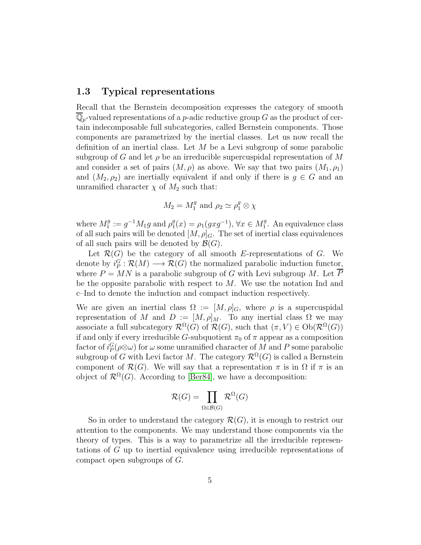#### <span id="page-4-0"></span>1.3 Typical representations

Recall that the Bernstein decomposition expresses the category of smooth  $\mathbb{Q}_p$ -valued representations of a p-adic reductive group G as the product of certain indecomposable full subcategories, called Bernstein components. Those components are parametrized by the inertial classes. Let us now recall the definition of an inertial class. Let  $M$  be a Levi subgroup of some parabolic subgroup of G and let  $\rho$  be an irreducible supercuspidal representation of M and consider a set of pairs  $(M, \rho)$  as above. We say that two pairs  $(M_1, \rho_1)$ and  $(M_2, \rho_2)$  are inertially equivalent if and only if there is  $g \in G$  and an unramified character  $\chi$  of  $M_2$  such that:

$$
M_2 = M_1^g
$$
 and  $\rho_2 \simeq \rho_1^g \otimes \chi$ 

where  $M_1^g$  $j_1^g := g^{-1} M_1 g$  and  $\rho_1^g$  $j_1^g(x) = \rho_1(gxg^{-1}), \forall x \in M_1^g$  $1<sup>g</sup>$ . An equivalence class of all such pairs will be denoted  $[M, \rho]_G$ . The set of inertial class equivalences of all such pairs will be denoted by  $\mathcal{B}(G)$ .

Let  $\mathcal{R}(G)$  be the category of all smooth E-representations of G. We denote by  $i_P^G : \mathcal{R}(M) \longrightarrow \mathcal{R}(G)$  the normalized parabolic induction functor, where  $P = MN$  is a parabolic subgroup of G with Levi subgroup M. Let  $\overline{P}$ be the opposite parabolic with respect to  $M$ . We use the notation Ind and c–Ind to denote the induction and compact induction respectively.

We are given an inertial class  $\Omega := [M, \rho]_G$ , where  $\rho$  is a supercuspidal representation of M and  $D := [M, \rho]_M$ . To any inertial class  $\Omega$  we may associate a full subcategory  $\mathcal{R}^{\Omega}(G)$  of  $\mathcal{R}(G)$ , such that  $(\pi, V) \in \mathrm{Ob}(\mathcal{R}^{\Omega}(G))$ if and only if every irreducible G-subquotient  $\pi_0$  of  $\pi$  appear as a composition factor of  $i_P^G(\rho \otimes \omega)$  for  $\omega$  some unramified character of  $M$  and  $P$  some parabolic subgroup of G with Levi factor M. The category  $\mathcal{R}^{\Omega}(G)$  is called a Bernstein component of  $\mathcal{R}(G)$ . We will say that a representation  $\pi$  is in  $\Omega$  if  $\pi$  is an object of  $\mathcal{R}^{\Omega}(G)$ . According to [\[Ber84\]](#page-38-1), we have a decomposition:

$$
\mathcal{R}(G) = \prod_{\Omega \in \mathcal{B}(G)} \mathcal{R}^{\Omega}(G)
$$

So in order to understand the category  $\mathcal{R}(G)$ , it is enough to restrict our attention to the components. We may understand those components via the theory of types. This is a way to parametrize all the irreducible representations of G up to inertial equivalence using irreducible representations of compact open subgroups of G.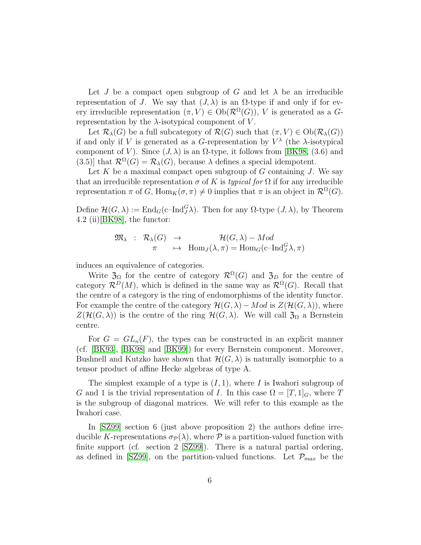Let J be a compact open subgroup of G and let  $\lambda$  be an irreducible representation of J. We say that  $(J, \lambda)$  is an  $\Omega$ -type if and only if for every irreducible representation  $(\pi, V) \in Ob(\mathcal{R}^{\Omega}(G))$ , V is generated as a Grepresentation by the  $\lambda$ -isotypical component of V.

Let  $\mathcal{R}_{\lambda}(G)$  be a full subcategory of  $\mathcal{R}(G)$  such that  $(\pi, V) \in Ob(\mathcal{R}_{\lambda}(G))$ if and only if V is generated as a G-representation by  $V^{\lambda}$  (the  $\lambda$ -isotypical component of V). Since  $(J, \lambda)$  is an  $\Omega$ -type, it follows from [\[BK98,](#page-39-0) (3.6) and  $(3.5)$ ] that  $\mathcal{R}^{\Omega}(G) = \mathcal{R}_{\lambda}(G)$ , because  $\lambda$  defines a special idempotent.

Let  $K$  be a maximal compact open subgroup of  $G$  containing  $J$ . We say that an irreducible representation  $\sigma$  of K is typical for  $\Omega$  if for any irreducible representation  $\pi$  of G, Hom $_K(\sigma, \pi) \neq 0$  implies that  $\pi$  is an object in  $\mathcal{R}^{\Omega}(G)$ .

Define  $\mathcal{H}(G,\lambda) := \text{End}_G(c-\text{Ind}_{J}^{G}\lambda)$ . Then for any  $\Omega$ -type  $(J,\lambda)$ , by Theorem 4.2 (ii)[\[BK98\]](#page-39-0), the functor:

$$
\mathfrak{M}_{\lambda} : \mathcal{R}_{\lambda}(G) \rightarrow \mathcal{H}(G, \lambda) - Mod
$$
  

$$
\pi \mapsto \text{Hom}_{J}(\lambda, \pi) = \text{Hom}_{G}(\text{c-Ind}_{J}^{G} \lambda, \pi)
$$

induces an equivalence of categories.

Write  $\mathfrak{Z}_{\Omega}$  for the centre of category  $\mathcal{R}^{\Omega}(G)$  and  $\mathfrak{Z}_{D}$  for the centre of category  $\mathcal{R}^D(M)$ , which is defined in the same way as  $\mathcal{R}^{\Omega}(G)$ . Recall that the centre of a category is the ring of endomorphisms of the identity functor. For example the centre of the category  $\mathcal{H}(G,\lambda) - Mod$  is  $Z(\mathcal{H}(G,\lambda))$ , where  $Z(\mathcal{H}(G,\lambda))$  is the centre of the ring  $\mathcal{H}(G,\lambda)$ . We will call  $\mathfrak{Z}_{\Omega}$  a Bernstein centre.

For  $G = GL_n(F)$ , the types can be constructed in an explicit manner (cf. [\[BK93\]](#page-39-1), [\[BK98\]](#page-39-0) and [\[BK99\]](#page-39-2)) for every Bernstein component. Moreover, Bushnell and Kutzko have shown that  $\mathcal{H}(G,\lambda)$  is naturally isomorphic to a tensor product of affine Hecke algebras of type A.

The simplest example of a type is  $(I, 1)$ , where I is Iwahori subgroup of G and 1 is the trivial representation of I. In this case  $\Omega = [T, 1]_G$ , where T is the subgroup of diagonal matrices. We will refer to this example as the Iwahori case.

In [\[SZ99\]](#page-43-1) section 6 (just above proposition 2) the authors define irreducible K-representations  $\sigma_{\mathcal{P}}(\lambda)$ , where P is a partition-valued function with finite support (cf. section 2 [\[SZ99\]](#page-43-1)). There is a natural partial ordering, as defined in [\[SZ99\]](#page-43-1), on the partition-valued functions. Let  $\mathcal{P}_{max}$  be the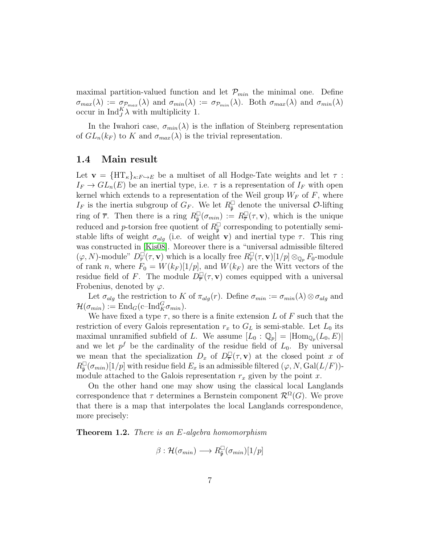maximal partition-valued function and let  $\mathcal{P}_{min}$  the minimal one. Define  $\sigma_{max}(\lambda) := \sigma_{p_{max}}(\lambda)$  and  $\sigma_{min}(\lambda) := \sigma_{p_{min}}(\lambda)$ . Both  $\sigma_{max}(\lambda)$  and  $\sigma_{min}(\lambda)$ occur in  $\text{Ind}_{J}^{K} \lambda$  with multiplicity 1.

In the Iwahori case,  $\sigma_{min}(\lambda)$  is the inflation of Steinberg representation of  $GL_n(k_F)$  to K and  $\sigma_{max}(\lambda)$  is the trivial representation.

#### <span id="page-6-0"></span>1.4 Main result

Let  $\mathbf{v} = \{HT_{\kappa}\}_{{\kappa}:F\hookrightarrow E}$  be a multiset of all Hodge-Tate weights and let  $\tau$ :  $I_F \to GL_n(E)$  be an inertial type, i.e.  $\tau$  is a representation of  $I_F$  with open kernel which extends to a representation of the Weil group  $W_F$  of F, where  $I_F$  is the inertia subgroup of  $G_F$ . We let  $R^{\square}_{\tilde{p}}$  denote the universal  $\mathcal{O}$ -lifting ring of  $\overline{r}$ . Then there is a ring  $R_{\tilde{p}}^{\square}(\sigma_{min}) := R_{\overline{r}}^{\square}(\tau, \mathbf{v})$ , which is the unique reduced and p-torsion free quotient of  $R_{\tilde{\mathfrak{p}}}^{\square}$  corresponding to potentially semistable lifts of weight  $\sigma_{alg}$  (i.e. of weight **v**) and inertial type  $\tau$ . This ring was constructed in [\[Kis08\]](#page-41-2). Moreover there is a "universal admissible filtered  $(\varphi, N)$ -module"  $D^{\square}_{\overline{r}}(\tau, \mathbf{v})$  which is a locally free  $R^{\square}_{\overline{r}}(\tau, \mathbf{v})[1/p] \otimes_{\mathbb{Q}_p} F_0$ -module of rank n, where  $F_0 = W(k_F)[1/p]$ , and  $W(k_F)$  are the Witt vectors of the residue field of F. The module  $D_{\overline{r}}^{\square}(\tau, \mathbf{v})$  comes equipped with a universal Frobenius, denoted by  $\varphi$ .

Let  $\sigma_{alg}$  the restriction to K of  $\pi_{alg}(r)$ . Define  $\sigma_{min} := \sigma_{min}(\lambda) \otimes \sigma_{alg}$  and  $\mathcal{H}(\sigma_{min}) := \mathrm{End}_G(\mathrm{c\text{--} Ind}_{K}^{G} \sigma_{min}).$ 

We have fixed a type  $\tau$ , so there is a finite extension L of F such that the restriction of every Galois representation  $r_x$  to  $G_L$  is semi-stable. Let  $L_0$  its maximal unramified subfield of L. We assume  $[L_0: \mathbb{Q}_p] = |Hom_{\mathbb{Q}_p}(L_0, E)|$ and we let  $p^f$  be the cardinality of the residue field of  $L_0$ . By universal we mean that the specialization  $D_x$  of  $D_{\overline{r}}(T, \mathbf{v})$  at the closed point x of  $R_{\tilde{\mathfrak{p}}}^{\square}(\sigma_{min})[1/p]$  with residue field  $E_x$  is an admissible filtered  $(\varphi, N, \text{Gal}(L/F))$ module attached to the Galois representation  $r_x$  given by the point x.

On the other hand one may show using the classical local Langlands correspondence that  $\tau$  determines a Bernstein component  $\mathcal{R}^{\Omega}(G)$ . We prove that there is a map that interpolates the local Langlands correspondence, more precisely:

Theorem 1.2. There is an E-algebra homomorphism

$$
\beta : \mathcal{H}(\sigma_{min}) \longrightarrow R_{\tilde{\mathfrak{p}}}^{\square}(\sigma_{min})[1/p]
$$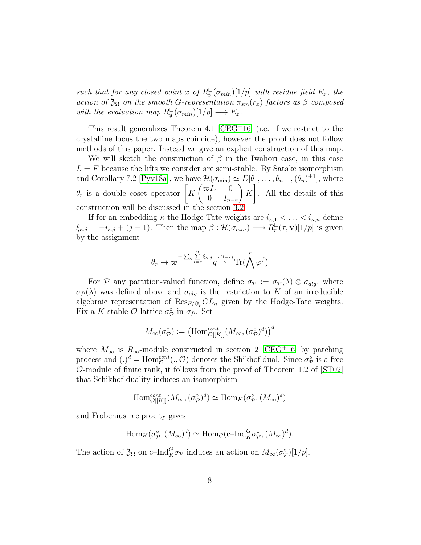such that for any closed point x of  $R_{\tilde{\mathfrak{p}}}^{\square}(\sigma_{min})[1/p]$  with residue field  $E_x$ , the action of  $\mathfrak{Z}_\Omega$  on the smooth G-representation  $\pi_{sm}(r_x)$  factors as  $\beta$  composed with the evaluation map  $R_{\tilde{\mathfrak{p}}}^{\square}(\sigma_{min})[1/p] \longrightarrow E_x$ .

This result generalizes Theorem 4.1  $[CEG+16]$  (i.e. if we restrict to the crystalline locus the two maps coincide), however the proof does not follow methods of this paper. Instead we give an explicit construction of this map.

We will sketch the construction of  $\beta$  in the Iwahori case, in this case  $L = F$  because the lifts we consider are semi-stable. By Satake isomorphism and Corollary 7.2 [\[Pyv18a\]](#page-42-0), we have  $\mathcal{H}(\sigma_{\min}) \simeq E[\theta_1,\ldots,\theta_{n-1},(\theta_n)^{\pm 1}]$ , where  $\theta_r$  is a double coset operator  $\begin{bmatrix} K \end{bmatrix}$  $\int \varpi I_r = 0$ 0  $I_{n-r}$  $\setminus$ K 1 . All the details of this construction will be discussed in the section

If for an embedding  $\kappa$  the Hodge-Tate weights are  $i_{\kappa,1} < \ldots < i_{\kappa,n}$  define  $\xi_{\kappa,j} = -i_{\kappa,j} + (j-1)$ . Then the map  $\beta : \mathcal{H}(\sigma_{min}) \longrightarrow R_{\overline{r}}^{\square}(\tau, \mathbf{v})[1/p]$  is given by the assignment

$$
\theta_r \mapsto \varpi^{-\sum_{\kappa} \sum\limits_{i=r}^n \xi_{\kappa,j}} q^{\frac{r(1-r)}{2}} {\rm Tr}(\bigwedge^r \varphi^f)
$$

For P any partition-valued function, define  $\sigma_p := \sigma_p(\lambda) \otimes \sigma_{alg}$ , where  $\sigma_P(\lambda)$  was defined above and  $\sigma_{alg}$  is the restriction to K of an irreducible algebraic representation of  $\text{Res}_{F/\mathbb{Q}_p} GL_n$  given by the Hodge-Tate weights. Fix a K-stable  $\mathcal{O}$ -lattice  $\sigma_{\mathcal{P}}^{\circ}$  in  $\sigma_{\mathcal{P}}$ . Set

$$
M_{\infty}(\sigma_{\mathcal{P}}^{\circ}):=\left(\mathrm{Hom}^{cont}_{\mathcal{O}[[K]]}(M_{\infty},(\sigma_{\mathcal{P}}^{\circ})^d)\right)^d
$$

where  $M_{\infty}$  is  $R_{\infty}$ -module constructed in section 2 [\[CEG](#page-40-0)<sup>+</sup>16] by patching process and  $(.)^d = \text{Hom}_{\mathcal{O}}^{cont}(., \mathcal{O})$  denotes the Shikhof dual. Since  $\sigma_{\mathcal{P}}^{\circ}$  is a free O-module of finite rank, it follows from the proof of Theorem 1.2 of [\[ST02\]](#page-43-2) that Schikhof duality induces an isomorphism

$$
\mathrm{Hom}^{cont}_{\mathcal{O}[[K]]}(M_{\infty}, (\sigma_{\mathcal{P}}^{\circ})^d) \simeq \mathrm{Hom}_K(\sigma_{\mathcal{P}}^{\circ}, (M_{\infty})^d)
$$

and Frobenius reciprocity gives

$$
\text{Hom}_K(\sigma_{\mathcal{P}}^{\circ}, (M_{\infty})^d) \simeq \text{Hom}_G(\text{c-Ind}_{K}^G \sigma_{\mathcal{P}}^{\circ}, (M_{\infty})^d).
$$

The action of  $\mathfrak{Z}_{\Omega}$  on c-Ind ${}_{K}^{G}\sigma_{\mathcal{P}}$  induces an action on  $M_{\infty}(\sigma_{\mathcal{P}}^{\circ})[1/p]$ .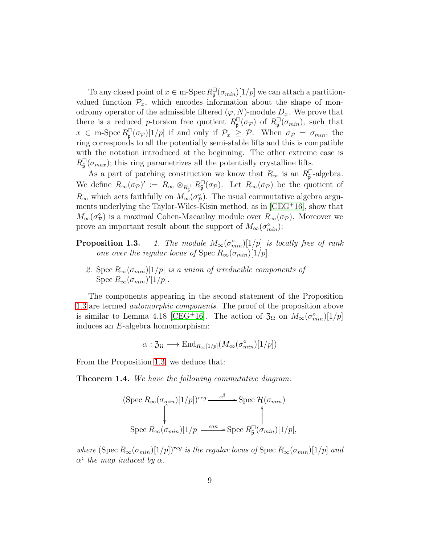To any closed point of  $x \in \text{m-Spec } R^{\square}_{\tilde{\mathfrak{p}}}(\sigma_{min})[1/p]$  we can attach a partitionvalued function  $\mathcal{P}_x$ , which encodes information about the shape of monodromy operator of the admissible filtered  $(\varphi, N)$ -module  $D_x$ . We prove that there is a reduced p-torsion free quotient  $R_{\tilde{\mathfrak{p}}}^{\square}(\sigma_{\mathcal{P}})$  of  $R_{\tilde{\mathfrak{p}}}^{\square}(\sigma_{min})$ , such that  $x \in \text{m-Spec } R_{\tilde{\mathfrak{p}}}^{\square}(\sigma_{\mathcal{P}})[1/p]$  if and only if  $\mathcal{P}_x \geq \mathcal{P}$ . When  $\sigma_{\mathcal{P}} = \sigma_{min}$ , the ring corresponds to all the potentially semi-stable lifts and this is compatible with the notation introduced at the beginning. The other extreme case is  $R_{\tilde{\mathfrak{p}}}^{\square}(\sigma_{max})$ ; this ring parametrizes all the potentially crystalline lifts.

As a part of patching construction we know that  $R_{\infty}$  is an  $R_{\tilde{\mathfrak{p}}}^{\square}$ -algebra. We define  $R_\infty(\sigma_{\mathcal{P}})' := R_\infty \otimes_{R_{\tilde{\mathfrak{p}}}^{\square}} R_{\tilde{\mathfrak{p}}}^{\square}(\sigma_{\mathcal{P}})$ . Let  $R_\infty(\sigma_{\mathcal{P}})$  be the quotient of  $R_{\infty}$  which acts faithfully on  $M_{\infty}(\sigma_{\mathcal{P}}^{\circ})$ . The usual commutative algebra arguments underlying the Taylor-Wiles-Kisin method, as in [\[CEG](#page-40-0)<sup>+</sup>16], show that  $M_{\infty}(\sigma_{\mathcal{P}}^{\circ})$  is a maximal Cohen-Macaulay module over  $R_{\infty}(\sigma_{\mathcal{P}})$ . Moreover we prove an important result about the support of  $M_{\infty}(\sigma_{min}^{\circ})$ :

- **Proposition 1.3.** 1. The module  $M_{\infty}(\sigma_{min}^{\circ})[1/p]$  is locally free of rank one over the regular locus of Spec  $R_{\infty}(\sigma_{min})[1/p].$ 
	- 2. Spec  $R_{\infty}(\sigma_{min})[1/p]$  is a union of irreducible components of Spec  $R_{\infty}(\sigma_{min})'[1/p].$

The components appearing in the second statement of the Proposition 1.3 are termed automorphic components. The proof of the proposition above is similar to Lemma 4.18 [\[CEG](#page-40-0)<sup>+</sup>16]. The action of  $\mathfrak{Z}_{\Omega}$  on  $M_{\infty}(\sigma_{min}^{\circ})[1/p]$ induces an E-algebra homomorphism:

$$
\alpha: \mathfrak{Z}_{\Omega} \longrightarrow \mathrm{End}_{R_{\infty}[1/p]}(M_{\infty}(\sigma_{min}^{\circ})[1/p])
$$

From the Proposition 1.3, we deduce that:

**Theorem 1.4.** We have the following commutative diagram:

(Spec 
$$
R_{\infty}(\sigma_{min})[1/p])^{reg}
$$
  $\xrightarrow{\alpha^{\sharp}}$  - Spec  $\mathcal{H}(\sigma_{min})$   
\nSpec  $R_{\infty}(\sigma_{min})[1/p] \xrightarrow{can}$  - Spec  $R_{\tilde{p}}^{\square}(\sigma_{min})[1/p]$ ,

where  $(\text{Spec } R_{\infty}(\sigma_{min})[1/p])^{reg}$  is the regular locus of  $\text{Spec } R_{\infty}(\sigma_{min})[1/p]$  and  $\alpha^{\sharp}$  the map induced by  $\alpha$ .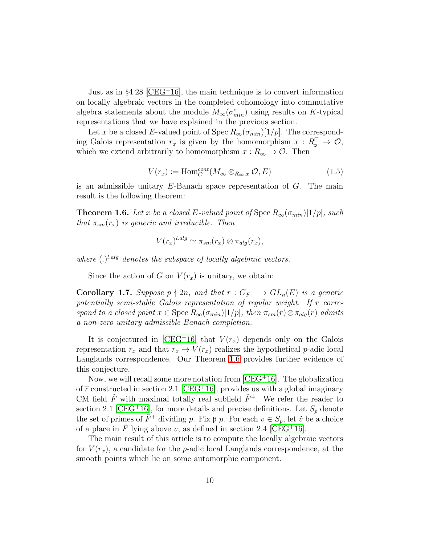Just as in  $\S4.28$  [\[CEG](#page-40-0)<sup>+</sup>16], the main technique is to convert information on locally algebraic vectors in the completed cohomology into commutative algebra statements about the module  $M_{\infty}(\sigma_{min}^{\circ})$  using results on K-typical representations that we have explained in the previous section.

Let x be a closed E-valued point of Spec  $R_{\infty}(\sigma_{min})[1/p]$ . The corresponding Galois representation  $r_x$  is given by the homomorphism  $x: R_{\tilde{p}}^{\square} \to \mathcal{O}$ , which we extend arbitrarily to homomorphism  $x : R_{\infty} \to \mathcal{O}$ . Then

$$
V(r_x) := \text{Hom}_{\mathcal{O}}^{cont}(M_{\infty} \otimes_{R_{\infty},x} \mathcal{O}, E)
$$
\n(1.5)

is an admissible unitary  $E$ -Banach space representation of  $G$ . The main result is the following theorem:

<span id="page-9-0"></span>**Theorem 1.6.** Let x be a closed E-valued point of Spec  $R_{\infty}(\sigma_{min})[1/p]$ , such that  $\pi_{sm}(r_x)$  is generic and irreducible. Then

$$
V(r_x)^{l.alg} \simeq \pi_{sm}(r_x) \otimes \pi_{alg}(r_x),
$$

where  $(.)^{l.alg}$  denotes the subspace of locally algebraic vectors.

Since the action of G on  $V(r_x)$  is unitary, we obtain:

**Corollary 1.7.** Suppose  $p \nmid 2n$ , and that  $r : G_F \longrightarrow GL_n(E)$  is a generic potentially semi-stable Galois representation of regular weight. If r correspond to a closed point  $x \in \text{Spec } R_{\infty}(\sigma_{min})[1/p]$ , then  $\pi_{sm}(r) \otimes \pi_{alg}(r)$  admits a non-zero unitary admissible Banach completion.

It is conjectured in [\[CEG](#page-40-0)<sup>+</sup>16] that  $V(r_x)$  depends only on the Galois representation  $r_x$  and that  $r_x \mapsto V(r_x)$  realizes the hypothetical p-adic local Langlands correspondence. Our Theorem [1.6](#page-9-0) provides further evidence of this conjecture.

Now, we will recall some more notation from  $[CEG+16]$ . The globalization of  $\overline{r}$  constructed in section 2.1 [\[CEG](#page-40-0)<sup>+</sup>16], provides us with a global imaginary CM field  $\tilde{F}$  with maximal totally real subfield  $\tilde{F}^+$ . We refer the reader to section 2.1 [\[CEG](#page-40-0)<sup>+</sup>16], for more details and precise definitions. Let  $S_p$  denote the set of primes of  $\tilde{F}^+$  dividing p. Fix  $\mathfrak{p}|p$ . For each  $v \in S_p$ , let  $\tilde{v}$  be a choice of a place in  $\tilde{F}$  lying above v, as defined in section 2.4 [\[CEG](#page-40-0)<sup>+</sup>16].

The main result of this article is to compute the locally algebraic vectors for  $V(r_x)$ , a candidate for the p-adic local Langlands correspondence, at the smooth points which lie on some automorphic component.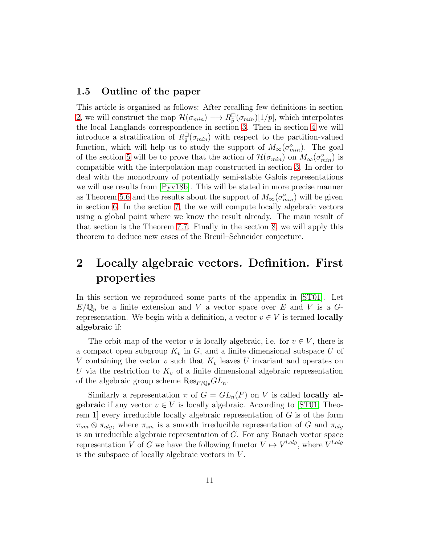### <span id="page-10-0"></span>1.5 Outline of the paper

This article is organised as follows: After recalling few definitions in section [2,](#page-10-1) we will construct the map  $\mathcal{H}(\sigma_{min}) \longrightarrow R_{\tilde{\mathfrak{p}}}^{\square}(\sigma_{min})[1/p]$ , which interpolates the local Langlands correspondence in section [3.](#page-11-0) Then in section [4](#page-22-0) we will introduce a stratification of  $R_{\tilde{\mathfrak{p}}}^{\square}(\sigma_{min})$  with respect to the partition-valued function, which will help us to study the support of  $M_{\infty}(\sigma_{min}^{\circ})$ . The goal of the section [5](#page-25-0) will be to prove that the action of  $\mathcal{H}(\sigma_{min})$  on  $M_{\infty}(\sigma_{min}^{\circ})$  is compatible with the interpolation map constructed in section [3.](#page-11-0) In order to deal with the monodromy of potentially semi-stable Galois representations we will use results from [\[Pyv18b\]](#page-42-1). This will be stated in more precise manner as Theorem [5.6](#page-31-0) and the results about the support of  $M_{\infty}(\sigma_{min}^{\circ})$  will be given in section [6.](#page-32-0) In the section [7,](#page-33-0) the we will compute locally algebraic vectors using a global point where we know the result already. The main result of that section is the Theorem [7.7.](#page-35-0) Finally in the section [8,](#page-37-0) we will apply this theorem to deduce new cases of the Breuil–Schneider conjecture.

# <span id="page-10-1"></span>2 Locally algebraic vectors. Definition. First properties

In this section we reproduced some parts of the appendix in [\[ST01\]](#page-43-3). Let  $E/\mathbb{Q}_p$  be a finite extension and V a vector space over E and V is a Grepresentation. We begin with a definition, a vector  $v \in V$  is termed **locally** algebraic if:

The orbit map of the vector v is locally algebraic, i.e. for  $v \in V$ , there is a compact open subgroup  $K_v$  in  $G$ , and a finite dimensional subspace U of V containing the vector v such that  $K_v$  leaves U invariant and operates on U via the restriction to  $K_v$  of a finite dimensional algebraic representation of the algebraic group scheme  $\text{Res}_{F/\mathbb{Q}_p}GL_n$ .

Similarly a representation  $\pi$  of  $G = GL_n(F)$  on V is called **locally algebraic** if any vector  $v \in V$  is locally algebraic. According to [\[ST01,](#page-43-3) Theorem 1] every irreducible locally algebraic representation of  $G$  is of the form  $\pi_{sm} \otimes \pi_{alg}$ , where  $\pi_{sm}$  is a smooth irreducible representation of G and  $\pi_{alg}$ is an irreducible algebraic representation of G. For any Banach vector space representation V of G we have the following functor  $V \mapsto V^{l.alg}$ , where  $V^{l.alg}$ is the subspace of locally algebraic vectors in  $V$ .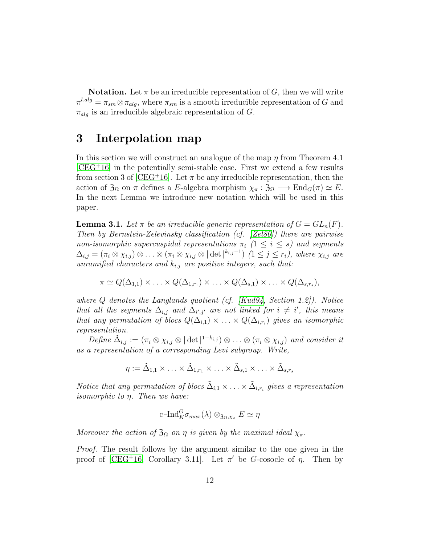**Notation.** Let  $\pi$  be an irreducible representation of G, then we will write  $\pi^{l.alg} = \pi_{sm} \otimes \pi_{alg}$ , where  $\pi_{sm}$  is a smooth irreducible representation of G and  $\pi_{alg}$  is an irreducible algebraic representation of G.

# <span id="page-11-0"></span>3 Interpolation map

In this section we will construct an analogue of the map  $\eta$  from Theorem 4.1  $[CEG+16]$  $[CEG+16]$  in the potentially semi-stable case. First we extend a few results from section 3 of [\[CEG](#page-40-0)<sup>+</sup>16]. Let  $\pi$  be any irreducible representation, then the action of  $\mathfrak{Z}_{\Omega}$  on  $\pi$  defines a E-algebra morphism  $\chi_{\pi} : \mathfrak{Z}_{\Omega} \longrightarrow \text{End}_{G}(\pi) \simeq E$ . In the next Lemma we introduce new notation which will be used in this paper.

<span id="page-11-1"></span>**Lemma 3.1.** Let  $\pi$  be an irreducible generic representation of  $G = GL_n(F)$ . Then by Bernstein-Zelevinsky classification (cf. [\[Zel80\]](#page-43-4)) there are pairwise non-isomorphic supercuspidal representations  $\pi_i$  ( $1 \leq i \leq s$ ) and segments  $\Delta_{i,j} = (\pi_i \otimes \chi_{i,j}) \otimes \ldots \otimes (\pi_i \otimes \chi_{i,j} \otimes |\det|^{k_{i,j}-1}) \ (1 \leq j \leq r_i)$ , where  $\chi_{i,j}$  are unramified characters and  $k_{i,j}$  are positive integers, such that:

$$
\pi \simeq Q(\Delta_{1,1}) \times \ldots \times Q(\Delta_{1,r_1}) \times \ldots \times Q(\Delta_{s,1}) \times \ldots \times Q(\Delta_{s,r_s}),
$$

where  $Q$  denotes the Langlands quotient (cf. [\[Kud94,](#page-42-2) Section 1.2]). Notice that all the segments  $\Delta_{i,j}$  and  $\Delta_{i',j'}$  are not linked for  $i \neq i'$ , this means that any permutation of blocs  $Q(\Delta_{i,1}) \times \ldots \times Q(\Delta_{i,r_i})$  gives an isomorphic representation.

Define  $\tilde{\Delta}_{i,j} := (\pi_i \otimes \chi_{i,j} \otimes |\det|^{1-k_{i,j}}) \otimes \ldots \otimes (\pi_i \otimes \chi_{i,j})$  and consider it as a representation of a corresponding Levi subgroup. Write,

 $\eta:= {\tilde\Delta}_{1,1}\times\ldots\times {\tilde\Delta}_{1,r_1}\times\ldots\times {\tilde\Delta}_{s,1}\times\ldots\times {\tilde\Delta}_{s,r_s}$ 

Notice that any permutation of blocs  $\tilde{\Delta}_{i,1} \times \ldots \times \tilde{\Delta}_{i,r_i}$  gives a representation *isomorphic to*  $\eta$ *. Then we have:* 

$$
\mathrm{c\text{--} Ind}_{K}^{G} \sigma_{max}(\lambda) \otimes_{\mathfrak{Z}_{\Omega}, \chi_{\pi}} E \simeq \eta
$$

Moreover the action of  $\mathfrak{Z}_{\Omega}$  on  $\eta$  is given by the maximal ideal  $\chi_{\pi}$ .

Proof. The result follows by the argument similar to the one given in the proof of [\[CEG](#page-40-0)<sup>+</sup>16, Corollary 3.11]. Let  $\pi'$  be G-cosocle of  $\eta$ . Then by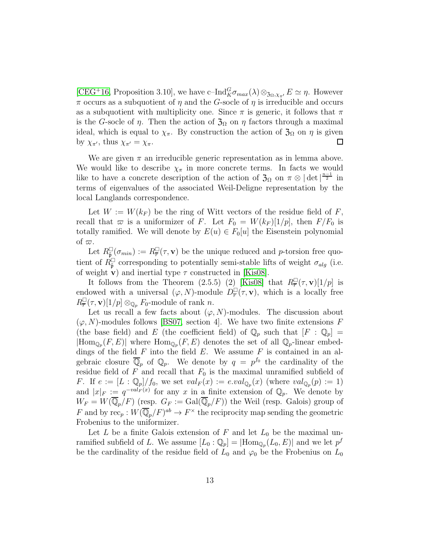[\[CEG](#page-40-0)<sup>+</sup>16, Proposition 3.10], we have c–Ind $^G_K\sigma_{max}(\lambda) \otimes_{\mathfrak{Z}_{\Omega},\chi_{\pi'}} E \simeq \eta$ . However  $\pi$  occurs as a subquotient of  $\eta$  and the G-socle of  $\eta$  is irreducible and occurs as a subquotient with multiplicity one. Since  $\pi$  is generic, it follows that  $\pi$ is the G-socle of  $\eta$ . Then the action of  $\mathfrak{Z}_{\Omega}$  on  $\eta$  factors through a maximal ideal, which is equal to  $\chi_{\pi}$ . By construction the action of  $\mathfrak{Z}_{\Omega}$  on  $\eta$  is given by  $\chi_{\pi'}$ , thus  $\chi_{\pi'} = \chi_{\pi}$ . □

We are given  $\pi$  an irreducible generic representation as in lemma above. We would like to describe  $\chi_{\pi}$  in more concrete terms. In facts we would like to have a concrete description of the action of  $\mathfrak{Z}_{\Omega}$  on  $\pi \otimes |\det|^{\frac{n-1}{2}}$  in terms of eigenvalues of the associated Weil-Deligne representation by the local Langlands correspondence.

Let  $W := W(k_F)$  be the ring of Witt vectors of the residue field of F, recall that  $\varpi$  is a uniformizer of F. Let  $F_0 = W(k_F)[1/p]$ , then  $F/F_0$  is totally ramified. We will denote by  $E(u) \in F_0[u]$  the Eisenstein polynomial of  $\varpi$ .

Let  $R_{\tilde{\mathfrak{p}}}^{\square}(\sigma_{min}) := R_{\overline{r}}^{\square}(\tau, \mathbf{v})$  be the unique reduced and p-torsion free quotient of  $\dot{R}_{\tilde{p}}^{\square}$  corresponding to potentially semi-stable lifts of weight  $\sigma_{alg}$  (i.e. of weight **v**) and inertial type  $\tau$  constructed in [\[Kis08\]](#page-41-2).

It follows from the Theorem (2.5.5) (2) [\[Kis08\]](#page-41-2) that  $R^{\square}_{\overline{r}}(\tau, \mathbf{v})[1/p]$  is endowed with a universal  $(\varphi, N)$ -module  $D^{\square}_{\overline{r}}(\tau, \mathbf{v})$ , which is a locally free  $R^{\square}_{\overline{r}}(\tau, \mathbf{v})[1/p] \otimes_{\mathbb{Q}_p} F_0$ -module of rank n.

Let us recall a few facts about  $(\varphi, N)$ -modules. The discussion about  $(\varphi, N)$ -modules follows [\[BS07,](#page-40-1) section 4]. We have two finite extensions F (the base field) and E (the coefficient field) of  $\mathbb{Q}_p$  such that  $[F : \mathbb{Q}_p] =$  $|\text{Hom}_{\mathbb{Q}_p}(F, E)|$  where  $\text{Hom}_{\mathbb{Q}_p}(F, E)$  denotes the set of all  $\mathbb{Q}_p$ -linear embeddings of the field  $F$  into the field  $E$ . We assume  $F$  is contained in an algebraic closure  $\overline{\mathbb{Q}}_p$  of  $\mathbb{Q}_p$ . We denote by  $q = p^{f_0}$  the cardinality of the residue field of F and recall that  $F_0$  is the maximal unramified subfield of F. If  $e := [L : \mathbb{Q}_p]/f_0$ , we set  $val_F(x) := eval_{\mathbb{Q}_p}(x)$  (where  $val_{\mathbb{Q}_p}(p) := 1$ ) and  $|x|_F := q^{-val_F(x)}$  for any x in a finite extension of  $\mathbb{Q}_p$ . We denote by  $W_F = W(\overline{\mathbb{Q}}_p/F)$  (resp.  $G_F := \text{Gal}(\overline{\mathbb{Q}}_p/F)$ ) the Weil (resp. Galois) group of F and by  $\text{rec}_p: W(\overline{\mathbb{Q}}_p/F)^{ab} \to F^\times$  the reciprocity map sending the geometric Frobenius to the uniformizer.

Let L be a finite Galois extension of F and let  $L_0$  be the maximal unramified subfield of L. We assume  $[L_0: \mathbb{Q}_p] = |\text{Hom}_{\mathbb{Q}_p}(L_0, E)|$  and we let  $p^f$ be the cardinality of the residue field of  $L_0$  and  $\varphi_0$  be the Frobenius on  $L_0$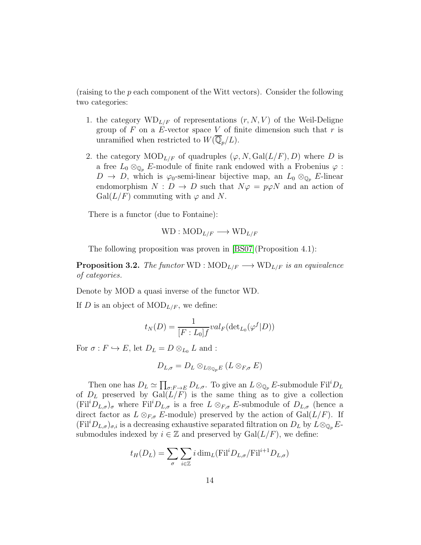(raising to the p each component of the Witt vectors). Consider the following two categories:

- 1. the category  $WD_{L/F}$  of representations  $(r, N, V)$  of the Weil-Deligne group of  $F$  on a  $E$ -vector space  $V$  of finite dimension such that  $r$  is unramified when restricted to  $W(\overline{\mathbb{Q}}_n/L)$ .
- 2. the category  $\text{MOD}_{L/F}$  of quadruples  $(\varphi, N, \text{Gal}(L/F), D)$  where D is a free  $L_0 \otimes_{\mathbb{Q}_p} E$ -module of finite rank endowed with a Frobenius  $\varphi$ :  $D \to D$ , which is  $\varphi_0$ -semi-linear bijective map, an  $L_0 \otimes_{\mathbb{Q}_p} E$ -linear endomorphism  $N : D \to D$  such that  $N\varphi = p\varphi N$  and an action of  $Gal(L/F)$  commuting with  $\varphi$  and N.

There is a functor (due to Fontaine):

$$
WD: \text{MOD}_{L/F} \longrightarrow \text{WD}_{L/F}
$$

The following proposition was proven in [\[BS07\]](#page-40-1)(Proposition 4.1):

<span id="page-13-0"></span>**Proposition 3.2.** The functor WD :  $\text{MOD}_{L/F} \longrightarrow \text{WD}_{L/F}$  is an equivalence of categories.

Denote by MOD a quasi inverse of the functor WD.

If D is an object of  $\text{MOD}_{L/F}$ , we define:

$$
t_N(D) = \frac{1}{[F:L_0]f} val_F(\det_{L_0}(\varphi^f|D))
$$

For  $\sigma : F \hookrightarrow E$ , let  $D_L = D \otimes_{L_0} L$  and :

$$
D_{L,\sigma}=D_L\otimes_{L\otimes_{\mathbb{Q}_p}E}(L\otimes_{F,\sigma}E)
$$

Then one has  $D_L \simeq \prod_{\sigma: F \to E} D_{L,\sigma}$ . To give an  $L \otimes_{\mathbb{Q}_p} E$ -submodule Fil<sup>i</sup> $D_L$ of  $D<sub>L</sub>$  preserved by  $Gal(L/F)$  is the same thing as to give a collection  $(Fil^iD_{L,\sigma})_{\sigma}$  where  $Fil^iD_{L,\sigma}$  is a free  $L\otimes_{F,\sigma} E$ -submodule of  $D_{L,\sigma}$  (hence a direct factor as  $L \otimes_{F,\sigma} E$ -module) preserved by the action of  $Gal(L/F)$ . If  $(Fil^iD_{L,\sigma})_{\sigma,i}$  is a decreasing exhaustive separated filtration on  $D_L$  by  $L\otimes_{\mathbb{Q}_p} E$ submodules indexed by  $i \in \mathbb{Z}$  and preserved by  $Gal(L/F)$ , we define:

$$
t_H(D_L) = \sum_{\sigma} \sum_{i \in \mathbb{Z}} i \dim_L(\mathrm{Fil}^i D_{L,\sigma}/\mathrm{Fil}^{i+1} D_{L,\sigma})
$$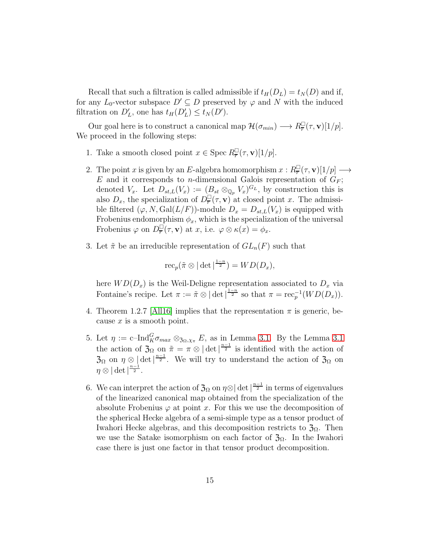Recall that such a filtration is called admissible if  $t_H(D_L) = t_N(D)$  and if, for any  $L_0$ -vector subspace  $D' \subseteq D$  preserved by  $\varphi$  and N with the induced filtration on  $D'_{L}$ , one has  $t_{H}(D'_{L}) \leq t_{N}(D')$ .

Our goal here is to construct a canonical map  $\mathcal{H}(\sigma_{min}) \longrightarrow R^{\square}_{\overline{r}}(\tau, \mathbf{v})[1/p].$ We proceed in the following steps:

- 1. Take a smooth closed point  $x \in \text{Spec } R^{\square}_{\overline{r}}(\tau, \mathbf{v})[1/p].$
- 2. The point x is given by an E-algebra homomorphism  $x: R^{\square}_{\overline{r}}(\tau, \mathbf{v})[1/p] \longrightarrow$ E and it corresponds to *n*-dimensional Galois representation of  $G_F$ ; denoted  $V_x$ . Let  $D_{st,L}(V_x) := (B_{st} \otimes_{\mathbb{Q}_p} V_x)^{G_L}$ , by construction this is also  $D_x$ , the specialization of  $D^{\square}_{\overline{r}}(\tau, \mathbf{v})$  at closed point x. The admissible filtered  $(\varphi, N, \text{Gal}(L/F))$ -module  $D_x = D_{st,L}(V_x)$  is equipped with Frobenius endomorphism  $\phi_x$ , which is the specialization of the universal Frobenius  $\varphi$  on  $D_{\overline{r}}^{\square}(\tau, \mathbf{v})$  at x, i.e.  $\varphi \otimes \kappa(x) = \phi_x$ .
- 3. Let  $\tilde{\pi}$  be an irreducible representation of  $GL_n(F)$  such that

$$
\operatorname{rec}_{p}(\tilde{\pi}\otimes|\det|^{\frac{1-n}{2}})=WD(D_{x}),
$$

here  $WD(D_x)$  is the Weil-Deligne representation associated to  $D_x$  via Fontaine's recipe. Let  $\pi := \tilde{\pi} \otimes |\det|^{1-n \over 2}$  so that  $\pi = \text{rec}_{p}^{-1}(WD(D_x)).$ 

- 4. Theorem 1.2.7 [\[All16\]](#page-38-2) implies that the representation  $\pi$  is generic, because  $x$  is a smooth point.
- 5. Let  $\eta := \text{c-Ind}_{K}^{G} \sigma_{max} \otimes_{\mathfrak{Z}_{\Omega}, \chi_{\pi}} E$ , as in Lemma [3.1.](#page-11-1) By the Lemma [3.1](#page-11-1) the action of  $\mathfrak{Z}_\Omega$  on  $\tilde{\pi} = \pi \otimes |\det|^{\frac{n-1}{2}}$  is identified with the action of  $\mathfrak{Z}_{\Omega}$  on  $\eta \otimes |\det|^{\frac{n-1}{2}}$ . We will try to understand the action of  $\mathfrak{Z}_{\Omega}$  on  $\eta\otimes|\det|^{\frac{n-1}{2}}.$
- 6. We can interpret the action of  $\mathfrak{Z}_\Omega$  on  $\eta \otimes |\det|^{\frac{n-1}{2}}$  in terms of eigenvalues of the linearized canonical map obtained from the specialization of the absolute Frobenius  $\varphi$  at point x. For this we use the decomposition of the spherical Hecke algebra of a semi-simple type as a tensor product of Iwahori Hecke algebras, and this decomposition restricts to  $\mathfrak{Z}_{\Omega}$ . Then we use the Satake isomorphism on each factor of  $\mathfrak{Z}_{\Omega}$ . In the Iwahori case there is just one factor in that tensor product decomposition.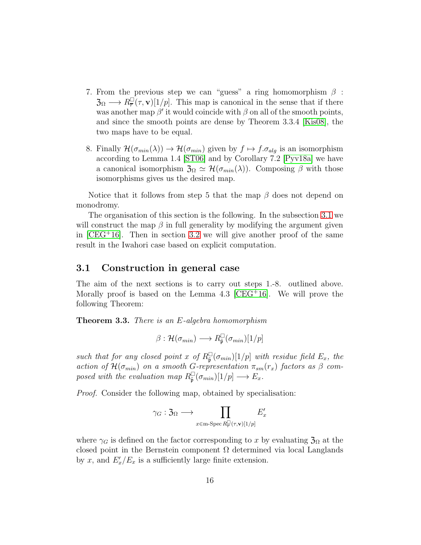- 7. From the previous step we can "guess" a ring homomorphism  $\beta$ :  $\mathfrak{Z}_\Omega \longrightarrow R^{\square}_{\overline{r}}(\tau, \mathbf{v})[1/p].$  This map is canonical in the sense that if there was another map  $\beta'$  it would coincide with  $\beta$  on all of the smooth points, and since the smooth points are dense by Theorem 3.3.4 [\[Kis08\]](#page-41-2), the two maps have to be equal.
- 8. Finally  $\mathcal{H}(\sigma_{min}(\lambda)) \to \mathcal{H}(\sigma_{min})$  given by  $f \mapsto f \sigma_{alg}$  is an isomorphism according to Lemma 1.4 [\[ST06\]](#page-43-5) and by Corollary 7.2 [\[Pyv18a\]](#page-42-0) we have a canonical isomorphism  $\mathfrak{Z}_\Omega \simeq \mathcal{H}(\sigma_{min}(\lambda))$ . Composing  $\beta$  with those isomorphisms gives us the desired map.

Notice that it follows from step 5 that the map  $\beta$  does not depend on monodromy.

The organisation of this section is the following. In the subsection [3.1](#page-15-0) we will construct the map  $\beta$  in full generality by modifying the argument given in  $[CEG<sup>+</sup>16]$ . Then in section [3.2](#page-18-0) we will give another proof of the same result in the Iwahori case based on explicit computation.

### <span id="page-15-0"></span>3.1 Construction in general case

The aim of the next sections is to carry out steps 1.-8. outlined above. Morally proof is based on the Lemma  $4.3$   $[CEG+16]$ . We will prove the following Theorem:

<span id="page-15-1"></span>Theorem 3.3. There is an E-algebra homomorphism

$$
\beta: \mathcal{H}(\sigma_{min}) \longrightarrow R_{\tilde{\mathfrak{p}}}^{\square}(\sigma_{min})[1/p]
$$

such that for any closed point x of  $R_{\tilde{\mathfrak{p}}}^{\square}(\sigma_{min})[1/p]$  with residue field  $E_x$ , the action of  $\mathcal{H}(\sigma_{min})$  on a smooth G-representation  $\pi_{sm}(r_x)$  factors as  $\beta$  composed with the evaluation map  $R_{\tilde{\mathfrak{p}}}^{\square}(\sigma_{min})[1/p] \longrightarrow E_x$ .

Proof. Consider the following map, obtained by specialisation:

$$
\gamma_G : \mathfrak{Z}_{\Omega} \longrightarrow \prod_{x \in \textrm{m-Spec } R^\square_{\overline{\bm \tau}}(\tau, \textbf{v}) [1/p]} E'_x
$$

where  $\gamma_G$  is defined on the factor corresponding to x by evaluating  $\mathfrak{Z}_\Omega$  at the closed point in the Bernstein component  $\Omega$  determined via local Langlands by x, and  $E'_x/E_x$  is a sufficiently large finite extension.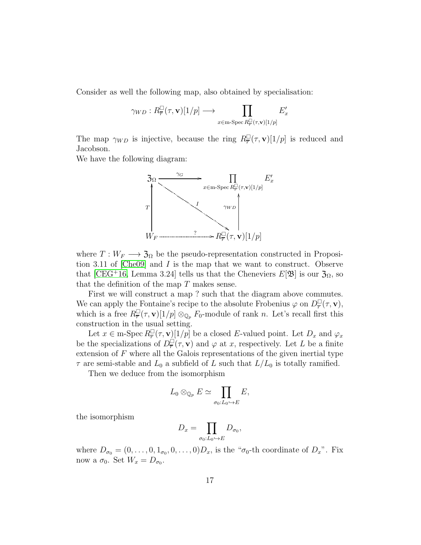Consider as well the following map, also obtained by specialisation:

$$
\gamma_{WD}:R^{\square}_{\overline{r}}(\tau,\mathbf{v})[1/p] \longrightarrow \prod_{x \in \text{m-Spec } R^{\square}_{\overline{r}}(\tau,\mathbf{v})[1/p]} E'_x
$$

The map  $\gamma_{WD}$  is injective, because the ring  $R_{\overline{r}}^{\square}(\tau, \mathbf{v})[1/p]$  is reduced and Jacobson.

We have the following diagram:



where  $T: W_F \longrightarrow \mathfrak{Z}_{\Omega}$  be the pseudo-representation constructed in Proposition 3.11 of [\[Che09\]](#page-40-2) and I is the map that we want to construct. Observe that [\[CEG](#page-40-0)+16, Lemma 3.24] tells us that the Cheneviers  $E[\mathfrak{B}]$  is our  $\mathfrak{Z}_{\Omega}$ , so that the definition of the map  $T$  makes sense.

First we will construct a map ? such that the diagram above commutes. We can apply the Fontaine's recipe to the absolute Frobenius  $\varphi$  on  $D^{\square}_{\overline{r}}(\tau, \mathbf{v}),$ which is a free  $R^{\square}_{\overline{r}}(\tau, \mathbf{v})[1/p] \otimes_{\mathbb{Q}_p} F_0$ -module of rank n. Let's recall first this construction in the usual setting.

Let  $x \in \text{m-Spec } R^{\square}_{\overline{r}}(\tau, \mathbf{v})[1/p]$  be a closed E-valued point. Let  $D_x$  and  $\varphi_x$ be the specializations of  $D_{\overline{r}}^{\square}(\tau, \mathbf{v})$  and  $\varphi$  at x, respectively. Let L be a finite extension of  $F$  where all the Galois representations of the given inertial type  $\tau$  are semi-stable and  $L_0$  a subfield of L such that  $L/L_0$  is totally ramified.

Then we deduce from the isomorphism

$$
L_0\otimes_{\mathbb{Q}_p}E\simeq \prod_{\sigma_0:L_0\hookrightarrow E}E,
$$

the isomorphism

$$
D_x = \prod_{\sigma_0: L_0 \hookrightarrow E} D_{\sigma_0},
$$

where  $D_{\sigma_0} = (0, \ldots, 0, 1_{\sigma_0}, 0, \ldots, 0)D_x$ , is the " $\sigma_0$ -th coordinate of  $D_x$ ". Fix now a  $\sigma_0$ . Set  $W_x = D_{\sigma_0}$ .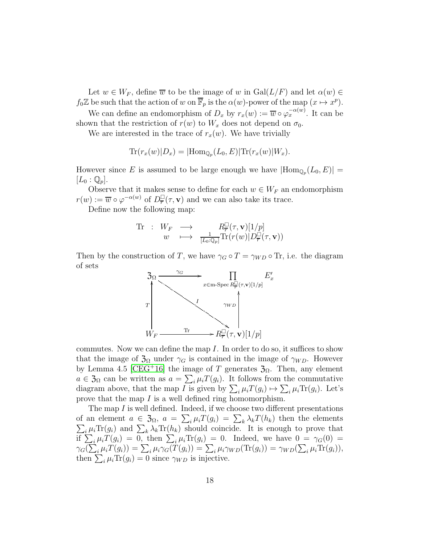Let  $w \in W_F$ , define  $\overline{w}$  to be the image of w in  $Gal(L/F)$  and let  $\alpha(w) \in$  $f_0\mathbb{Z}$  be such that the action of w on  $\overline{\mathbb{F}}_p$  is the  $\alpha(w)$ -power of the map  $(x \mapsto x^p)$ .

We can define an endomorphism of  $D_x$  by  $r_x(w) := \overline{w} \circ \varphi_x^{-\alpha(w)}$ . It can be shown that the restriction of  $r(w)$  to  $W_x$  does not depend on  $\sigma_0$ .

We are interested in the trace of  $r_x(w)$ . We have trivially

$$
\text{Tr}(r_x(w)|D_x) = |\text{Hom}_{\mathbb{Q}_p}(L_0, E)|\text{Tr}(r_x(w)|W_x).
$$

However since E is assumed to be large enough we have  $|\text{Hom}_{\mathbb{Q}_p}(L_0, E)| =$  $|L_0 : \mathbb{Q}_p|.$ 

Observe that it makes sense to define for each  $w \in W_F$  an endomorphism  $r(w) := \overline{w} \circ \varphi^{-\alpha(w)}$  of  $D^{\square}_{\overline{r}}(\tau, \mathbf{v})$  and we can also take its trace.

Define now the following map:

$$
\begin{array}{rcl}\n\text{Tr} & \colon & W_F & \longrightarrow & R_{\overline{r}}^{\square}(\tau, \mathbf{v})[1/p] \\
& w & \longmapsto & \frac{1}{[L_0:\mathbb{Q}_p]} \text{Tr}(r(w)|D_{\overline{r}}^{\square}(\tau, \mathbf{v}))\n\end{array}
$$

Then by the construction of T, we have  $\gamma_G \circ T = \gamma_{WD} \circ \text{Tr}$ , i.e. the diagram of sets



commutes. Now we can define the map  $I$ . In order to do so, it suffices to show that the image of  $\mathfrak{Z}_\Omega$  under  $\gamma_G$  is contained in the image of  $\gamma_{WD}$ . However by Lemma 4.5 [\[CEG](#page-40-0)<sup>+</sup>16] the image of T generates  $\mathfrak{Z}_{\Omega}$ . Then, any element  $a \in \mathfrak{Z}_{\Omega}$  can be written as  $a = \sum_{i} \mu_i T(g_i)$ . It follows from the commutative diagram above, that the map I is given by  $\sum_i \mu_i T(g_i) \mapsto \sum_i \mu_i \text{Tr}(g_i)$ . Let's prove that the map I is a well defined ring homomorphism.

The map I is well defined. Indeed, if we choose two different presentations of an element  $a \in \mathfrak{Z}_{\Omega}$ ,  $a = \sum_{i} \mu_i T(g_i) = \sum_{k} \lambda_k T(h_k)$  then the elements  $\sum_i \mu_i \text{Tr}(g_i)$  and  $\sum_k \lambda_k \text{Tr}(h_k)$  should coincide. It is enough to prove that if  $\sum_i \mu_i T(g_i) = 0$ , then  $\sum_i \mu_i \text{Tr}(g_i) = 0$ . Indeed, we have  $0 = \gamma_G(0) =$  $\gamma_G(\sum_i \mu_i T(g_i)) = \sum_i \mu_i \gamma_G(T(g_i)) = \sum_i \mu_i \gamma_{WD}(\text{Tr}(g_i)) = \gamma_{WD}(\sum_i \mu_i \text{Tr}(g_i)),$ then  $\sum_i \mu_i \text{Tr}(g_i) = 0$  since  $\gamma_{WD}$  is injective.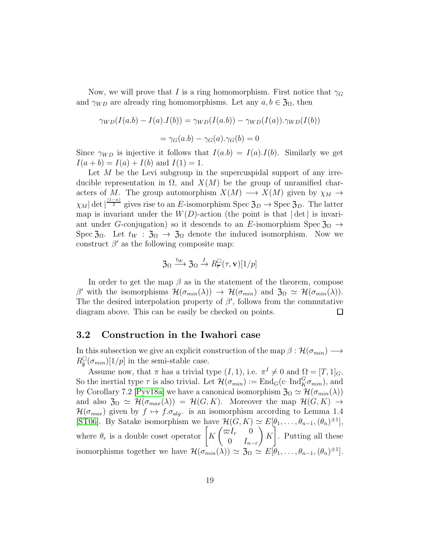Now, we will prove that I is a ring homomorphism. First notice that  $\gamma_G$ and  $\gamma_{WD}$  are already ring homomorphisms. Let any  $a, b \in \mathfrak{Z}_{\Omega}$ , then

$$
\gamma_{WD}(I(a.b) - I(a).I(b)) = \gamma_{WD}(I(a.b)) - \gamma_{WD}(I(a)).\gamma_{WD}(I(b))
$$

$$
= \gamma_G(a.b) - \gamma_G(a).\gamma_G(b) = 0
$$

Since  $\gamma_{WD}$  is injective it follows that  $I(a.b) = I(a).I(b)$ . Similarly we get  $I(a + b) = I(a) + I(b)$  and  $I(1) = 1$ .

Let  $M$  be the Levi subgroup in the supercuspidal support of any irreducible representation in Ω, and  $X(M)$  be the group of unramified characters of M. The group automorphism  $X(M) \longrightarrow X(M)$  given by  $\chi_M \to$  $\chi_M|\det|^{\frac{(1-n)}{2}}$  gives rise to an E-isomorphism Spec  $\mathfrak{Z}_D \to \text{Spec } \mathfrak{Z}_D$ . The latter map is invariant under the  $W(D)$ -action (the point is that  $|\det|$  is invariant under G-conjugation) so it descends to an E-isomorphism Spec  $\mathfrak{Z}_0 \rightarrow$ Spec  $\mathfrak{Z}_{\Omega}$ . Let  $t_W : \mathfrak{Z}_{\Omega} \to \mathfrak{Z}_{\Omega}$  denote the induced isomorphism. Now we construct  $\beta'$  as the following composite map:

$$
\mathfrak{Z}_{\Omega} \xrightarrow{t_W} \mathfrak{Z}_{\Omega} \xrightarrow{I} R_{\overline{r}}^{\square}(\tau, \mathbf{v})[1/p]
$$

In order to get the map  $\beta$  as in the statement of the theorem, compose β' with the isomorphisms  $\mathcal{H}(\sigma_{min}(\lambda)) \to \mathcal{H}(\sigma_{min})$  and  $\mathfrak{Z}_{\Omega} \simeq \mathcal{H}(\sigma_{min}(\lambda)).$ The the desired interpolation property of  $\beta'$ , follows from the commutative diagram above. This can be easily be checked on points.  $\Box$ 

#### <span id="page-18-0"></span>3.2 Construction in the Iwahori case

In this subsection we give an explicit construction of the map  $\beta : \mathcal{H}(\sigma_{min}) \longrightarrow$  $R_{\tilde{\mathfrak{p}}}^{\square}(\sigma_{min})[1/p]$  in the semi-stable case.

Assume now, that  $\pi$  has a trivial type  $(I, 1)$ , i.e.  $\pi^I \neq 0$  and  $\Omega = [T, 1]_G$ . So the inertial type  $\tau$  is also trivial. Let  $\mathcal{H}(\sigma_{min}) := \text{End}_G(\text{c-Ind}_{K}^{G} \sigma_{min}),$  and by Corollary 7.2 [\[Pyv18a\]](#page-42-0) we have a canonical isomorphism  $\mathfrak{Z}_{\Omega} \simeq \mathcal{H}(\sigma_{min}(\lambda))$ and also  $\mathfrak{Z}_\Omega \simeq \mathcal{H}(\sigma_{max}(\lambda)) = \mathcal{H}(G, K)$ . Moreover the map  $\mathcal{H}(G, K) \to$  $\mathcal{H}(\sigma_{max})$  given by  $f \mapsto f \sigma_{alg}$  is an isomorphism according to Lemma 1.4 [\[ST06\]](#page-43-5). By Satake isomorphism we have  $\mathcal{H}(G,K) \simeq E[\theta_1,\ldots,\theta_{n-1},(\theta_n)^{\pm 1}],$ where  $\theta_r$  is a double coset operator  $\begin{bmatrix} K \begin{pmatrix} \varpi I_r & 0 \\ 0 & I \end{pmatrix} \end{bmatrix}$  $0 \t I_{n-r}$  $\bigg\}$  K . Putting all these isomorphisms together we have  $\mathcal{H}(\sigma_{min}(\lambda)) \simeq \mathfrak{Z}_{\Omega} \simeq E[\theta_1,\ldots,\theta_{n-1},(\theta_n)]$  $_{\pm 1}$ ].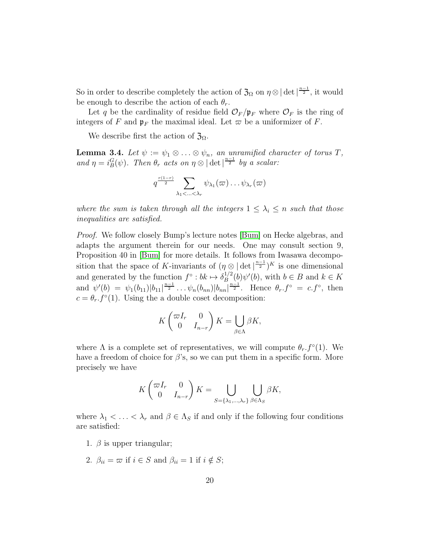So in order to describe completely the action of  $\mathfrak{Z}_{\Omega}$  on  $\eta \otimes |\det|^{\frac{n-1}{2}}$ , it would be enough to describe the action of each  $\theta_r$ .

Let q be the cardinality of residue field  $\mathcal{O}_F/\mathfrak{p}_F$  where  $\mathcal{O}_F$  is the ring of integers of F and  $\mathfrak{p}_F$  the maximal ideal. Let  $\varpi$  be a uniformizer of F.

We describe first the action of  $\mathfrak{Z}_{\Omega}$ .

**Lemma 3.4.** Let  $\psi := \psi_1 \otimes \ldots \otimes \psi_n$ , an unramified character of torus T, and  $\eta = i_B^G(\psi)$ . Then  $\theta_r$  acts on  $\eta \otimes |\det|^{n-1 \over 2}$  by a scalar:

$$
q^{\frac{r(1-r)}{2}}\sum_{\lambda_1<...<\lambda_r}\psi_{\lambda_1}(\varpi)\dots\psi_{\lambda_r}(\varpi)
$$

where the sum is taken through all the integers  $1 \leq \lambda_i \leq n$  such that those inequalities are satisfied.

Proof. We follow closely Bump's lecture notes [\[Bum\]](#page-40-3) on Hecke algebras, and adapts the argument therein for our needs. One may consult section 9, Proposition 40 in [\[Bum\]](#page-40-3) for more details. It follows from Iwasawa decomposition that the space of K-invariants of  $(\eta \otimes |\det|^{\frac{n-1}{2}})^K$  is one dimensional and generated by the function  $f^{\circ}: bk \mapsto \delta_B^{1/2}$  $B^{1/2}(b)\psi'(b)$ , with  $b \in B$  and  $k \in K$ and  $\psi'(b) = \psi_1(b_{11}) |b_{11}|^{\frac{n-1}{2}} \dots \psi_n(b_{nn}) |b_{nn}|^{\frac{n-1}{2}}$ . Hence  $\theta_r f^{\circ} = c.f^{\circ}$ , then  $c = \theta_r f^{\circ}(1)$ . Using the a double coset decomposition:

$$
K\begin{pmatrix} \varpi I_r & 0 \\ 0 & I_{n-r} \end{pmatrix} K = \bigcup_{\beta \in \Lambda} \beta K,
$$

where  $\Lambda$  is a complete set of representatives, we will compute  $\theta_r f^{\circ}(1)$ . We have a freedom of choice for  $\beta$ 's, so we can put them in a specific form. More precisely we have

$$
K\begin{pmatrix} \varpi I_r & 0 \\ 0 & I_{n-r} \end{pmatrix} K = \bigcup_{S = \{\lambda_1, \dots, \lambda_r\}} \bigcup_{\beta \in \Lambda_S} \beta K,
$$

where  $\lambda_1 < \ldots < \lambda_r$  and  $\beta \in \Lambda_S$  if and only if the following four conditions are satisfied:

- 1.  $\beta$  is upper triangular;
- 2.  $\beta_{ii} = \varpi$  if  $i \in S$  and  $\beta_{ii} = 1$  if  $i \notin S$ ;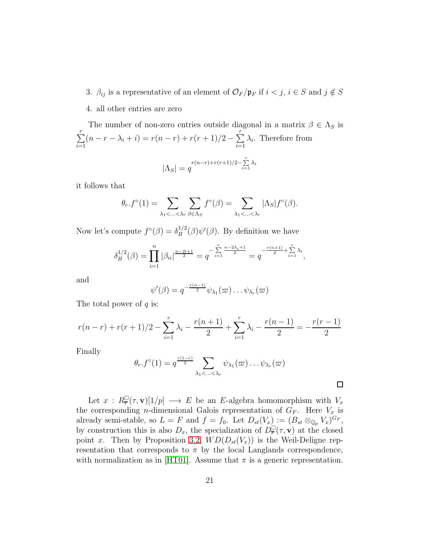- 3.  $\beta_{ij}$  is a representative of an element of  $\mathcal{O}_F/\mathfrak{p}_F$  if  $i < j$ ,  $i \in S$  and  $j \notin S$
- 4. all other entries are zero

The number of non-zero entries outside diagonal in a matrix  $\beta \in \Lambda_S$  is  $\sum_{i=1}^{r}$  $i=1$  $(n - r - \lambda_i + i) = r(n - r) + r(r + 1)/2 - \sum^{r}$  $i=1$  $\lambda_i$ . Therefore from  $|\Lambda_S| = q^{\frac{r(n-r)+r(r+1)/2-\sum\limits_{i=1}^{r} \lambda_i}}$ 

it follows that

$$
\theta_r.f^{\circ}(1) = \sum_{\lambda_1 < \ldots < \lambda_r} \sum_{\beta \in \Lambda_S} f^{\circ}(\beta) = \sum_{\lambda_1 < \ldots < \lambda_r} |\Lambda_S| f^{\circ}(\beta).
$$

Now let's compute  $f^{\circ}(\beta) = \delta_B^{1/2}$  $B^{1/2}(\beta)\psi'(\beta)$ . By definition we have

$$
\delta_B^{1/2}(\beta) = \prod_{i=1}^n |\beta_{ii}|^{\frac{n-2i+1}{2}} = q^{-\sum_{i=1}^r \frac{n-2\lambda_i+1}{2}} = q^{-\frac{r(n+1)}{2} + \sum_{i=1}^r \lambda_i},
$$

and

$$
\psi'(\beta) = q^{-\frac{r(n-1)}{2}} \psi_{\lambda_1}(\varpi) \dots \psi_{\lambda_r}(\varpi)
$$

The total power of  $q$  is:

$$
r(n-r) + r(r+1)/2 - \sum_{i=1}^{r} \lambda_i - \frac{r(n+1)}{2} + \sum_{i=1}^{r} \lambda_i - \frac{r(n-1)}{2} = -\frac{r(r-1)}{2}
$$

Finally

$$
\theta_r.f^{\circ}(1)=q^{\frac{r(1-r)}{2}}\sum_{\lambda_1<\ldots<\lambda_r}\psi_{\lambda_1}(\varpi)\ldots\psi_{\lambda_r}(\varpi)
$$

 $\Box$ 

Let  $x: R^{\square}_{\overline{r}}(\tau, \mathbf{v})[1/p] \longrightarrow E$  be an E-algebra homomorphism with  $V_x$ the corresponding *n*-dimensional Galois representation of  $G_F$ . Here  $V_x$  is already semi-stable, so  $L = F$  and  $f = f_0$ . Let  $D_{st}(V_x) := (B_{st} \otimes_{\mathbb{Q}_p} V_x)^{G_F}$ , by construction this is also  $D_x$ , the specialization of  $D_{\overline{r}}^{\square}(\tau, \mathbf{v})$  at the closed point x. Then by Proposition [3.2,](#page-13-0)  $WD(D_{st}(V_x))$  is the Weil-Deligne representation that corresponds to  $\pi$  by the local Langlands correspondence, with normalization as in [\[HT01\]](#page-41-0). Assume that  $\pi$  is a generic representation.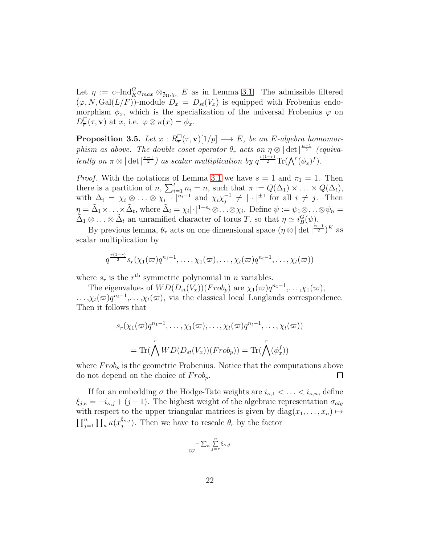Let  $\eta := \text{c-Ind}_{K}^{G} \sigma_{max} \otimes_{\mathfrak{Z}_{\Omega}, \chi_{\pi}} E$  as in Lemma [3.1.](#page-11-1) The admissible filtered  $(\varphi, N, \mathrm{Gal}(L/F))$ -module  $D_x = D_{st}(V_x)$  is equipped with Frobenius endomorphism  $\phi_x$ , which is the specialization of the universal Frobenius  $\varphi$  on  $D^{\square}_{\overline{r}}(\tau, \mathbf{v})$  at x, i.e.  $\varphi \otimes \kappa(x) = \phi_x$ .

**Proposition 3.5.** Let  $x: R^{\square}_{\overline{r}}(\tau, \mathbf{v})[1/p] \longrightarrow E$ , be an E-algebra homomorphism as above. The double coset operator  $\theta_r$  acts on  $\eta \otimes |\det|^{n-1 \over 2}$  (equivalently on  $\pi \otimes |\det|^{\frac{n-1}{2}}$  as scalar multiplication by  $q^{\frac{r(1-r)}{2}} \text{Tr}(\bigwedge^r (\phi_x)^f)$ .

*Proof.* With the notations of Lemma [3.1](#page-11-1) we have  $s = 1$  and  $\pi_1 = 1$ . Then there is a partition of n,  $\sum_{i=1}^{t} n_i = n$ , such that  $\pi := Q(\Delta_1) \times \ldots \times Q(\Delta_t)$ , with  $\Delta_i = \chi_i \otimes \ldots \otimes \chi_i | \cdot |^{n_i-1}$  and  $\chi_i \chi_i^{-1}$  $j_j^{-1} \neq |\cdot|^{+1}$  for all  $i \neq j$ . Then  $\eta = \tilde{\Delta}_1 \times \ldots \times \tilde{\Delta}_t$ , where  $\tilde{\Delta}_i = \chi_i |\cdot|^{1-n_i} \otimes \ldots \otimes \chi_i$ . Define  $\psi := \psi_1 \otimes \ldots \otimes \psi_n =$  $\tilde{\Delta}_1 \otimes \ldots \otimes \tilde{\Delta}_t$  an unramified character of torus T, so that  $\eta \simeq i_B^G(\psi)$ .

By previous lemma,  $\theta_r$  acts on one dimensional space  $(\eta \otimes |\det|^{\frac{n-1}{2}})^K$  as scalar multiplication by

$$
q^{\frac{r(1-r)}{2}}s_r(\chi_1(\varpi)q^{n_1-1},\ldots,\chi_1(\varpi),\ldots,\chi_t(\varpi)q^{n_t-1},\ldots,\chi_t(\varpi))
$$

where  $s_r$  is the  $r<sup>th</sup>$  symmetric polynomial in n variables.

The eigenvalues of  $WD(D_{st}(V_x))(Frob_p)$  are  $\chi_1(\varpi)q^{n_1-1},\ldots,\chi_1(\varpi)$ ,  $\ldots, \chi_t(\varpi)q^{n_t-1}, \ldots, \chi_t(\varpi)$ , via the classical local Langlands correspondence. Then it follows that

$$
s_r(\chi_1(\varpi)q^{n_1-1},\ldots,\chi_1(\varpi),\ldots,\chi_t(\varpi)q^{n_t-1},\ldots,\chi_t(\varpi))
$$

$$
=\operatorname{Tr}(\bigwedge^r WD(D_{st}(V_x))(Frob_p))=\operatorname{Tr}(\bigwedge^r(\phi_x^f))
$$

where  $Frob_p$  is the geometric Frobenius. Notice that the computations above do not depend on the choice of  $Frob_p$ . □

If for an embedding  $\sigma$  the Hodge-Tate weights are  $i_{\kappa,1} < \ldots < i_{\kappa,n}$ , define  $\xi_{j,\kappa} = -i_{\kappa,j} + (j-1)$ . The highest weight of the algebraic representation  $\sigma_{alg}$ with respect to the upper triangular matrices is given by  $diag(x_1, \ldots, x_n) \mapsto$  $\prod_{j=1}^n \prod_{\kappa} \kappa(x_j^{\xi_{\kappa,j}}$  $\binom{\varsigma_{\kappa,j}}{j}$ . Then we have to rescale  $\theta_r$  by the factor

$$
-\sum_{\kappa}\sum_{j=r}^{n}\xi_{\kappa,j}
$$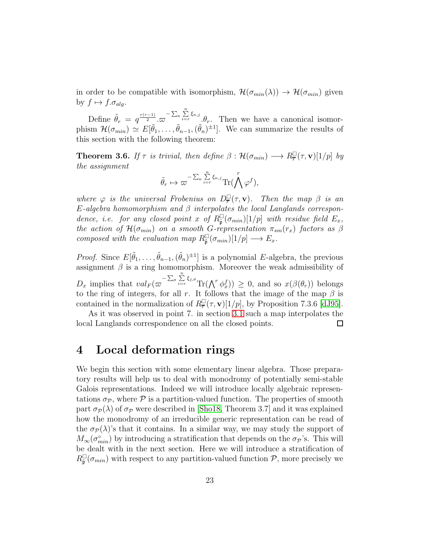in order to be compatible with isomorphism,  $\mathcal{H}(\sigma_{min}(\lambda)) \to \mathcal{H}(\sigma_{min})$  given by  $f \mapsto f.\sigma_{alg}$ .

Define  $\tilde{\theta}_r = q^{\frac{r(r-1)}{2}} \cdot \overline{\omega}^{-\sum_{\kappa} \sum_{i=r}^{n} \xi_{\kappa,j}} \cdot \theta_r$ . Then we have a canonical isomorphism  $\mathcal{H}(\sigma_{min}) \simeq E[\tilde{\theta}_1,\ldots,\tilde{\theta}_{n-1},(\tilde{\theta}_n)^{\pm 1}]$ . We can summarize the results of this section with the following theorem:

**Theorem 3.6.** If  $\tau$  is trivial, then define  $\beta : \mathcal{H}(\sigma_{min}) \longrightarrow R_{\overline{r}}^{\square}(\tau, \mathbf{v})[1/p]$  by the assignment

$$
\tilde{\theta}_r \mapsto \varpi^{-\sum_{\kappa} \sum_{i=r}^n \xi_{\kappa,j}} \text{Tr}(\bigwedge^r \varphi^f),
$$

where  $\varphi$  is the universal Frobenius on  $D^{\square}_{\overline{r}}(\tau, \mathbf{v})$ . Then the map  $\beta$  is an E-algebra homomorphism and  $\beta$  interpolates the local Langlands correspondence, i.e. for any closed point x of  $R_{\tilde{\mathfrak{p}}}^{\square}(\sigma_{min})[1/p]$  with residue field  $E_x$ , the action of  $\mathcal{H}(\sigma_{min})$  on a smooth G-representation  $\pi_{sm}(r_x)$  factors as  $\beta$ composed with the evaluation map  $R_{\tilde{\mathfrak{p}}}^{\square}(\sigma_{min})[1/p] \longrightarrow E_x$ .

*Proof.* Since  $E[\tilde{\theta}_1,\ldots,\tilde{\theta}_{n-1},(\tilde{\theta}_n)^{\pm 1}]$  is a polynomial E-algebra, the previous assignment  $\beta$  is a ring homomorphism. Moreover the weak admissibility of  $D_x$  implies that  $val_F(\varpi^{-\sum_{\sigma}\sum_{i=r}^{n}\xi_{j,\sigma}}\text{Tr}(\bigwedge^r\phi_x^f))\geq 0$ , and so  $x(\beta(\theta_r))$  belongs to the ring of integers, for all r. It follows that the image of the map  $\beta$  is contained in the normalization of  $R^{\square}_{\overline{r}}(\tau, \mathbf{v})[1/p]$ , by Proposition 7.3.6 [\[dJ95\]](#page-41-3).

As it was observed in point 7. in section [3.1](#page-15-0) such a map interpolates the local Langlands correspondence on all the closed points.  $\Box$ 

### <span id="page-22-0"></span>4 Local deformation rings

We begin this section with some elementary linear algebra. Those preparatory results will help us to deal with monodromy of potentially semi-stable Galois representations. Indeed we will introduce locally algebraic representations  $\sigma_{\mathcal{P}}$ , where  $\mathcal P$  is a partition-valued function. The properties of smooth part  $\sigma_{\mathcal{P}}(\lambda)$  of  $\sigma_{\mathcal{P}}$  were described in [\[Sho18,](#page-43-6) Theorem 3.7] and it was explained how the monodromy of an irreducible generic representation can be read of the  $\sigma_{\mathcal{P}}(\lambda)$ 's that it contains. In a similar way, we may study the support of  $M_{\infty}(\sigma_{min}^{\circ})$  by introducing a stratification that depends on the  $\sigma_{\mathcal{P}}$ 's. This will be dealt with in the next section. Here we will introduce a stratification of  $R_{\tilde{\mathfrak{p}}}^{\square}(\sigma_{min})$  with respect to any partition-valued function  $P$ , more precisely we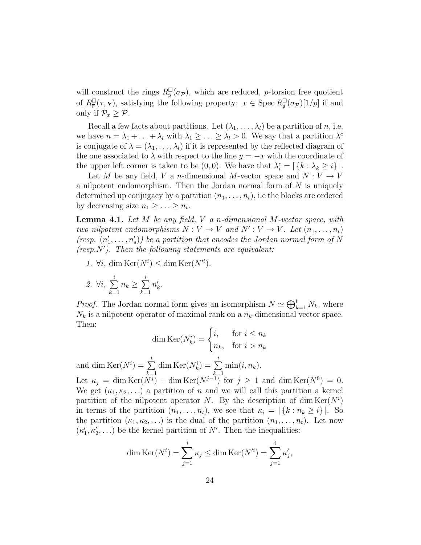will construct the rings  $R_{\tilde{\mathfrak{p}}}^{\square}(\sigma_{\mathcal{P}})$ , which are reduced, *p*-torsion free quotient of  $R^{\square}_{\overline{r}}(\tau, \mathbf{v})$ , satisfying the following property:  $x \in \text{Spec } R^{\square}_{\tilde{\mathfrak{p}}}(\sigma_{\mathcal{P}})[1/p]$  if and only if  $\mathcal{P}_x \geq \mathcal{P}$ .

Recall a few facts about partitions. Let  $(\lambda_1, \ldots, \lambda_l)$  be a partition of n, i.e. we have  $n = \lambda_1 + \ldots + \lambda_l$  with  $\lambda_1 \geq \ldots \geq \lambda_l > 0$ . We say that a partition  $\lambda^c$ is conjugate of  $\lambda = (\lambda_1, \ldots, \lambda_l)$  if it is represented by the reflected diagram of the one associated to  $\lambda$  with respect to the line  $y = -x$  with the coordinate of the upper left corner is taken to be  $(0,0)$ . We have that  $\lambda_i^c = |\{k : \lambda_k \geq i\}|$ .

Let M be any field, V a n-dimensional M-vector space and  $N: V \to V$ a nilpotent endomorphism. Then the Jordan normal form of  $N$  is uniquely determined up conjugacy by a partition  $(n_1, \ldots, n_t)$ , i.e the blocks are ordered by decreasing size  $n_1 \geq \ldots \geq n_t$ .

**Lemma 4.1.** Let  $M$  be any field,  $V$  a n-dimensional  $M$ -vector space, with two nilpotent endomorphisms  $N: V \to V$  and  $N': V \to V$ . Let  $(n_1, \ldots, n_t)$ (resp.  $(n'_1, \ldots, n'_s)$ ) be a partition that encodes the Jordan normal form of N  $(resp.N')$ . Then the following statements are equivalent:

1.  $\forall i$ , dim  $\text{Ker}(N^i) \leq \dim \text{Ker}(N'^i)$ .

$$
\mathcal{Z}. \ \forall i, \sum_{k=1}^i n_k \geq \sum_{k=1}^i n'_k.
$$

*Proof.* The Jordan normal form gives an isomorphism  $N \simeq \bigoplus_{k=1}^{t} N_k$ , where  $N_k$  is a nilpotent operator of maximal rank on a  $n_k$ -dimensional vector space. Then:

$$
\dim \text{Ker}(N_k^i) = \begin{cases} i, & \text{for } i \le n_k \\ n_k, & \text{for } i > n_k \end{cases}
$$

and dim  $\text{Ker}(N^i) = \sum$ t  $k=1$ dim Ker $(N_k^i) = \sum$ t  $k=1$  $min(i, n_k)$ .

Let  $\kappa_j = \dim \text{Ker}(N^j) - \dim \text{Ker}(N^{j-1})$  for  $j \ge 1$  and  $\dim \text{Ker}(N^0) = 0$ . We get  $(\kappa_1, \kappa_2, \ldots)$  a partition of n and we will call this partition a kernel partition of the nilpotent operator N. By the description of dim  $\text{Ker}(N^i)$ in terms of the partition  $(n_1, \ldots, n_t)$ , we see that  $\kappa_i = |\{k : n_k \geq i\}|$ . So the partition  $(\kappa_1, \kappa_2, \ldots)$  is the dual of the partition  $(n_1, \ldots, n_t)$ . Let now  $(\kappa'_1, \kappa'_2, \ldots)$  be the kernel partition of N'. Then the inequalities:

$$
\dim \operatorname{Ker}(N^i) = \sum_{j=1}^i \kappa_j \le \dim \operatorname{Ker}(N'^i) = \sum_{j=1}^i \kappa'_j,
$$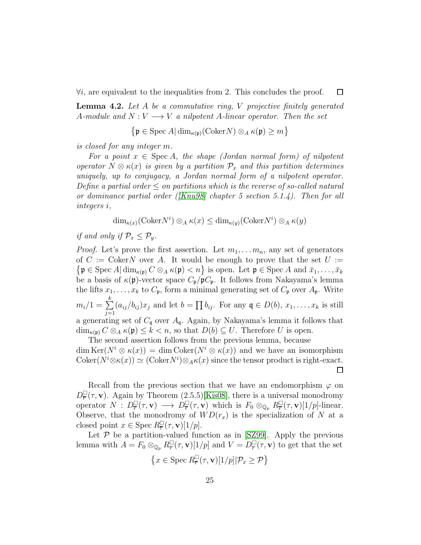$\forall i$ , are equivalent to the inequalities from 2. This concludes the proof.

<span id="page-24-0"></span>**Lemma 4.2.** Let A be a commutative ring, V projective finitely generated A-module and  $N: V \longrightarrow V$  a nilpotent A-linear operator. Then the set

 $\Box$ 

 $\Box$ 

$$
\left\{ \mathfrak{p} \in \operatorname{Spec} A | \dim_{\kappa(\mathfrak{p})} (\operatorname{Coker} N) \otimes_A \kappa(\mathfrak{p}) \ge m \right\}
$$

is closed for any integer m.

For a point  $x \in \text{Spec } A$ , the shape (Jordan normal form) of nilpotent operator  $N \otimes \kappa(x)$  is given by a partition  $\mathcal{P}_x$  and this partition determines uniquely, up to conjugacy, a Jordan normal form of a nilpotent operator. Define a partial order  $\leq$  on partitions which is the reverse of so-called natural or dominance partial order ([\[Knu98\]](#page-42-3) chapter 5 section 5.1.4). Then for all integers i,

 $\dim_{\kappa(x)}(\mathrm{Coker}N^i) \otimes_A \kappa(x) \leq \dim_{\kappa(y)}(\mathrm{Coker}N^i) \otimes_A \kappa(y)$ 

if and only if  $\mathcal{P}_x \leq \mathcal{P}_y$ .

*Proof.* Let's prove the first assertion. Let  $m_1, \ldots, m_n$ , any set of generators of  $C := \mathrm{Coker}N$  over A. It would be enough to prove that the set  $U :=$  $\{\mathfrak{p} \in \text{Spec } A | \dim_{\kappa(\mathfrak{p})} C \otimes_A \kappa(\mathfrak{p}) < n\}$  is open. Let  $\mathfrak{p} \in \text{Spec } A$  and  $\bar{x}_1, \ldots, \bar{x}_k$ be a basis of  $\kappa(\mathfrak{p})$ -vector space  $C_{\mathfrak{p}}/\mathfrak{p}C_{\mathfrak{p}}$ . It follows from Nakayama's lemma the lifts  $x_1, \ldots, x_k$  to  $C_p$ , form a minimal generating set of  $C_p$  over  $A_p$ . Write  $m_i/1 = \sum$ k  $j=1$  $(a_{ij}/b_{ij})x_j$  and let  $b=\prod b_{ij}$ . For any  $\mathfrak{q} \in D(b), x_1, \ldots, x_k$  is still a generating set of  $C_q$  over  $A_q$ . Again, by Nakayama's lemma it follows that  $\dim_{\kappa(\mathfrak{p})} C \otimes_A \kappa(\mathfrak{p}) \leq k < n$ , so that  $D(b) \subseteq U$ . Therefore U is open.

The second assertion follows from the previous lemma, because  $\dim \text{Ker}(N^i \otimes \kappa(x)) = \dim \text{Coker}(N^i \otimes \kappa(x))$  and we have an isomorphism Coker $(N^i \otimes \kappa(x)) \simeq (\text{Coker} N^i) \otimes_A \kappa(x)$  since the tensor product is right-exact.

Recall from the previous section that we have an endomorphism  $\varphi$  on  $D_{\overline{r}}^{\square}(\tau, \mathbf{v})$ . Again by Theorem (2.5.5)[\[Kis08\]](#page-41-2), there is a universal monodromy operator  $N: D^{\square}_{\overline{r}}(\tau, \mathbf{v}) \longrightarrow D^{\square}_{\overline{r}}(\tau, \mathbf{v})$  which is  $F_0 \otimes_{\mathbb{Q}_p} R^{\square}_{\overline{r}}(\tau, \mathbf{v})[1/p]$ -linear. Observe, that the monodromy of  $WD(r_x)$  is the specialization of N at a closed point  $x \in \text{Spec } R^{\square}_{\overline{r}}(\tau, \mathbf{v})[1/p].$ 

Let  $P$  be a partition-valued function as in [\[SZ99\]](#page-43-1). Apply the previous lemma with  $A = F_0 \otimes_{\mathbb{Q}_p} R^{\square}_{\overline{r}}(\tau, \mathbf{v})[1/p]$  and  $V = D^{\square}_{\overline{r}}(\tau, \mathbf{v})$  to get that the set

$$
\left\{x\in \operatorname{Spec} R^{\square}_{\overline{r}}(\tau, \mathbf{v})[1/p]|\mathcal{P}_x \geq \mathcal{P}\right\}
$$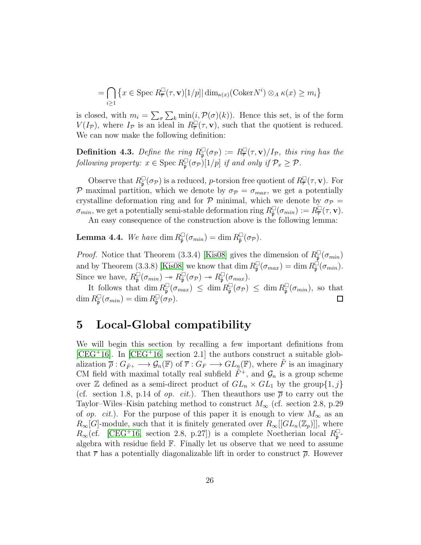$$
= \bigcap_{i \ge 1} \left\{ x \in \text{Spec } R^{\square}_{\overline{r}}(\tau, \mathbf{v})[1/p] | \dim_{\kappa(x)} (\text{Coker} N^i) \otimes_A \kappa(x) \ge m_i \right\}
$$

is closed, with  $m_i = \sum_{\sigma} \sum_{k} \min(i, \mathcal{P}(\sigma)(k))$ . Hence this set, is of the form  $V(I_{\mathcal{P}})$ , where  $I_{\mathcal{P}}$  is an ideal in  $R^{\square}(\tau, \mathbf{v})$ , such that the quotient is reduced. We can now make the following definition:

**Definition 4.3.** Define the ring  $R_{\tilde{p}}^{\square}(\sigma_p) := R_{\overline{r}}^{\square}(\tau, \mathbf{v})/I_p$ , this ring has the following property:  $x \in \text{Spec } R_{\tilde{\mathfrak{p}}}^{\square}(\sigma_{\mathcal{P}})[1/p]$  if and only if  $\mathcal{P}_x \geq \mathcal{P}$ .

Observe that  $R_{\tilde{p}}^{\square}(\sigma_{\mathcal{P}})$  is a reduced, *p*-torsion free quotient of  $R_{\overline{r}}^{\square}(\tau, \mathbf{v})$ . For P maximal partition, which we denote by  $\sigma_{\mathcal{P}} = \sigma_{max}$ , we get a potentially crystalline deformation ring and for  $P$  minimal, which we denote by  $\sigma_P$  =  $\sigma_{min}$ , we get a potentially semi-stable deformation ring  $R_{\tilde{\mathfrak{p}}}^{\square}(\sigma_{min}) := R_{\overline{r}}^{\square}(\tau, \mathbf{v}).$ 

An easy consequence of the construction above is the following lemma:

**Lemma 4.4.** We have  $\dim R_{\tilde{\mathfrak{p}}}^{\square}(\sigma_{min}) = \dim R_{\tilde{\mathfrak{p}}}^{\square}(\sigma_{\mathcal{P}}).$ 

*Proof.* Notice that Theorem (3.3.4) [\[Kis08\]](#page-41-2) gives the dimension of  $R_{\tilde{\mathfrak{p}}}^{\square}(\sigma_{min})$ and by Theorem (3.3.8) [\[Kis08\]](#page-41-2) we know that dim  $R_{\tilde{\mathfrak{p}}}^{\square}(\sigma_{max}) = \dim R_{\tilde{\mathfrak{p}}}^{\square}(\sigma_{min}).$ Since we have,  $R_{\tilde{\mathfrak{p}}}^{\square}(\sigma_{min}) \to R_{\tilde{\mathfrak{p}}}^{\square}(\sigma_{\mathcal{P}}) \to R_{\tilde{\mathfrak{p}}}^{\square}(\sigma_{max}).$ 

It follows that  $\dim R_{\tilde{\mathfrak{p}}}^{\square}(\sigma_{max}) \leq \dim R_{\tilde{\mathfrak{p}}}^{\square}(\sigma_{\mathcal{P}}) \leq \dim R_{\tilde{\mathfrak{p}}}^{\square}(\sigma_{min}),$  so that  $\dim R_{\tilde{\mathfrak{p}}}^{\square}(\sigma_{min}) = \dim R_{\tilde{\mathfrak{p}}}^{\square}(\sigma_{\mathcal{P}}).$  $\Box$ 

### <span id="page-25-0"></span>5 Local-Global compatibility

We will begin this section by recalling a few important definitions from  $[CEG+16]$  $[CEG+16]$ . In  $[CEG+16$ , section 2.1 the authors construct a suitable globalization  $\overline{\rho}: G_{\tilde{F}^+}\longrightarrow \mathcal{G}_n(\mathbb{F})$  of  $\overline{r}: G_F\longrightarrow GL_n(\mathbb{F})$ , where  $\tilde{F}$  is an imaginary CM field with maximal totally real subfield  $\tilde{F}^+$ , and  $\mathcal{G}_n$  is a group scheme over Z defined as a semi-direct product of  $GL_n \times GL_1$  by the group $\{1, j\}$ (cf. section 1.8, p.14 of *op. cit.*). Then the authors use  $\bar{\rho}$  to carry out the Taylor–Wiles–Kisin patching method to construct  $M_{\infty}$  (cf. section 2.8, p.29) of op. cit.). For the purpose of this paper it is enough to view  $M_{\infty}$  as an  $R_{\infty}[G]$ -module, such that it is finitely generated over  $R_{\infty}[[GL_n(\mathbb{Z}_p)]]$ , where  $R_{\infty}$ (cf. [\[CEG](#page-40-0)<sup>+</sup>16, section 2.8, p.27]) is a complete Noetherian local  $R_{\tilde{\mathfrak{p}}}^{\square}$ algebra with residue field  $\mathbb{F}$ . Finally let us observe that we need to assume that  $\bar{r}$  has a potentially diagonalizable lift in order to construct  $\bar{\rho}$ . However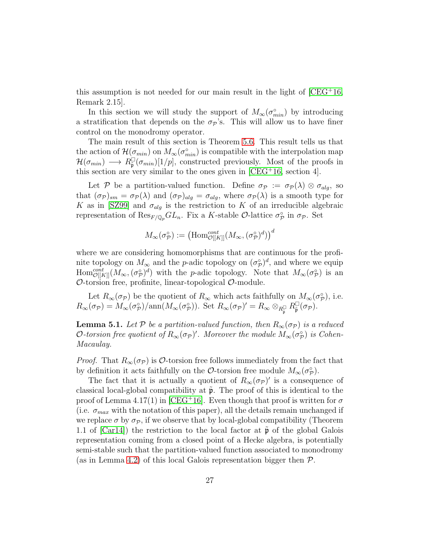this assumption is not needed for our main result in the light of  $[CEG+16]$ , Remark 2.15].

In this section we will study the support of  $M_{\infty}(\sigma_{min}^{\circ})$  by introducing a stratification that depends on the  $\sigma_p$ 's. This will allow us to have finer control on the monodromy operator.

The main result of this section is Theorem [5.6.](#page-31-0) This result tells us that the action of  $\mathcal{H}(\sigma_{min})$  on  $M_{\infty}(\sigma_{min}^{\circ})$  is compatible with the interpolation map  $\mathcal{H}(\sigma_{min}) \longrightarrow R_{\tilde{\mathfrak{p}}}^{\square}(\sigma_{min})[1/p],$  constructed previously. Most of the proofs in this section are very similar to the ones given in  $[CEG^+16$ , section 4.

Let P be a partition-valued function. Define  $\sigma_{\mathcal{P}} := \sigma_{\mathcal{P}}(\lambda) \otimes \sigma_{alg}$ , so that  $(\sigma_{\mathcal{P}})_{sm} = \sigma_{\mathcal{P}}(\lambda)$  and  $(\sigma_{\mathcal{P}})_{alg} = \sigma_{alg}$ , where  $\sigma_{\mathcal{P}}(\lambda)$  is a smooth type for K as in [\[SZ99\]](#page-43-1) and  $\sigma_{alg}$  is the restriction to K of an irreducible algebraic representation of  $\text{Res}_{F/\mathbb{Q}_p} GL_n$ . Fix a K-stable  $\mathcal{O}$ -lattice  $\sigma^{\circ}_{\mathcal{P}}$  in  $\sigma_{\mathcal{P}}$ . Set

$$
M_{\infty}(\sigma_{\mathcal{P}}^{\circ}):=\left(\mathrm{Hom}^{cont}_{\mathcal{O}[[K]]}(M_{\infty},(\sigma_{\mathcal{P}}^{\circ})^d)\right)^d
$$

where we are considering homomorphisms that are continuous for the profinite topology on  $M_{\infty}$  and the *p*-adic topology on  $(\sigma_{\mathcal{P}}^{\circ})^d$ , and where we equip  $\text{Hom}_{\mathcal{O}[[K]]}^{cont}(M_{\infty},(\sigma_{\mathcal{P}}^{\circ})^d)$  with the *p*-adic topology. Note that  $M_{\infty}(\sigma_{\mathcal{P}}^{\circ})$  is an  $\mathcal{O}$ -torsion free, profinite, linear-topological  $\mathcal{O}$ -module.

Let  $R_{\infty}(\sigma_{\mathcal{P}})$  be the quotient of  $R_{\infty}$  which acts faithfully on  $M_{\infty}(\sigma_{\mathcal{P}}^{\circ})$ , i.e.  $R_{\infty}(\sigma_{\mathcal{P}}) = M_{\infty}(\sigma_{\mathcal{P}}^{\circ})/\text{ann}(M_{\infty}(\sigma_{\mathcal{P}}^{\circ}))$ . Set  $R_{\infty}(\sigma_{\mathcal{P}})' = R_{\infty} \otimes_{R_{\overline{\mathfrak{p}}}} R_{\overline{\mathfrak{p}}}^{\square}(\sigma_{\mathcal{P}})$ .

<span id="page-26-0"></span>**Lemma 5.1.** Let P be a partition-valued function, then  $R_{\infty}(\sigma_{\mathcal{P}})$  is a reduced O-torsion free quotient of  $R_{\infty}(\sigma_{\mathcal{P}})'$ . Moreover the module  $M_{\infty}(\sigma_{\mathcal{P}}^{s})$  is Cohen-Macaulay.

*Proof.* That  $R_{\infty}(\sigma_{\mathcal{P}})$  is  $\mathcal{O}\text{-torsion free follows immediately from the fact that}$ by definition it acts faithfully on the  $\mathcal{O}\text{-torsion}$  free module  $M_{\infty}(\sigma_{\mathcal{P}}^{\circ}).$ 

The fact that it is actually a quotient of  $R_{\infty}(\sigma_{\mathcal{P}})'$  is a consequence of classical local-global compatibility at  $\tilde{\mathfrak{p}}$ . The proof of this is identical to the proof of Lemma 4.17(1) in [\[CEG](#page-40-0)+16]. Even though that proof is written for  $\sigma$ (i.e.  $\sigma_{max}$  with the notation of this paper), all the details remain unchanged if we replace  $\sigma$  by  $\sigma_{\mathcal{P}}$ , if we observe that by local-global compatibility (Theorem 1.1 of  $[Car14]$ ) the restriction to the local factor at  $\tilde{\mathfrak{p}}$  of the global Galois representation coming from a closed point of a Hecke algebra, is potentially semi-stable such that the partition-valued function associated to monodromy (as in Lemma [4.2\)](#page-24-0) of this local Galois representation bigger then  $P$ .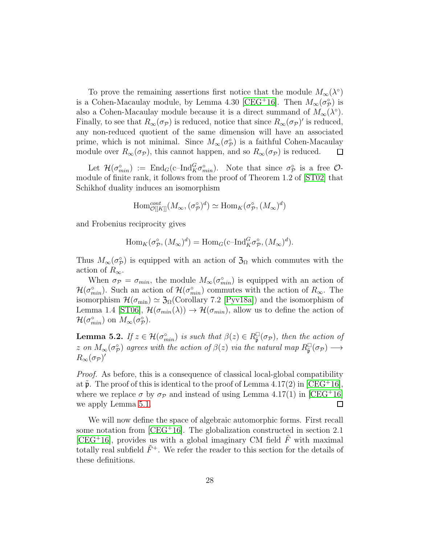To prove the remaining assertions first notice that the module  $M_{\infty}(\lambda^{\circ})$ is a Cohen-Macaulay module, by Lemma 4.30 [\[CEG](#page-40-0)<sup>+</sup>16]. Then  $M_{\infty}(\sigma_{\mathcal{P}}^{\circ})$  is also a Cohen-Macaulay module because it is a direct summand of  $M_{\infty}(\lambda^{\circ})$ . Finally, to see that  $R_{\infty}(\sigma_{\mathcal{P}})$  is reduced, notice that since  $R_{\infty}(\sigma_{\mathcal{P}})'$  is reduced, any non-reduced quotient of the same dimension will have an associated prime, which is not minimal. Since  $M_{\infty}(\sigma_{\mathcal{P}}^{\circ})$  is a faithful Cohen-Macaulay module over  $R_{\infty}(\sigma_{\mathcal{P}})$ , this cannot happen, and so  $R_{\infty}(\sigma_{\mathcal{P}})$  is reduced.  $\Box$ 

Let  $\mathcal{H}(\sigma_{min}^{\circ}) := \text{End}_G(\text{c-Ind}_{K}^{G} \sigma_{min}^{\circ}).$  Note that since  $\sigma_{\mathcal{P}}^{\circ}$  is a free  $\mathcal{O}$ module of finite rank, it follows from the proof of Theorem 1.2 of [\[ST02\]](#page-43-2) that Schikhof duality induces an isomorphism

$$
\mathrm{Hom}^{cont}_{{\mathcal{O}}[[K]]}(M_{\infty}, (\sigma_{\mathcal{P}}^{\circ})^d) \simeq \mathrm{Hom}_K(\sigma_{\mathcal{P}}^{\circ}, (M_{\infty})^d)
$$

and Frobenius reciprocity gives

$$
\operatorname{Hom}_{K}(\sigma_{\mathcal{P}}^{\circ},(M_{\infty})^{d}) = \operatorname{Hom}_{G}(\operatorname{c-Ind}_{K}^{G}\sigma_{\mathcal{P}}^{\circ},(M_{\infty})^{d}).
$$

Thus  $M_{\infty}(\sigma_{\mathcal{P}}^{\circ})$  is equipped with an action of  $\mathfrak{Z}_{\Omega}$  which commutes with the action of  $R_{\infty}$ .

When  $\sigma_P = \sigma_{min}$ , the module  $M_{\infty}(\sigma_{min}^{\circ})$  is equipped with an action of  $\mathcal{H}(\sigma_{min}^{\circ})$ . Such an action of  $\mathcal{H}(\sigma_{min}^{\circ})$  commutes with the action of  $R_{\infty}$ . The isomorphism  $\mathcal{H}(\sigma_{\min}) \simeq \mathfrak{Z}_{\Omega}(\text{Corollary 7.2 [Pyv18a])}$  $\mathcal{H}(\sigma_{\min}) \simeq \mathfrak{Z}_{\Omega}(\text{Corollary 7.2 [Pyv18a])}$  $\mathcal{H}(\sigma_{\min}) \simeq \mathfrak{Z}_{\Omega}(\text{Corollary 7.2 [Pyv18a])}$  and the isomorphism of Lemma 1.4 [\[ST06\]](#page-43-5),  $\mathcal{H}(\sigma_{min}(\lambda)) \to \mathcal{H}(\sigma_{min})$ , allow us to define the action of  $\mathcal{H}(\sigma_{min}^{\circ})$  on  $M_{\infty}(\sigma_{\mathcal{P}}^{\circ})$ .

<span id="page-27-0"></span>**Lemma 5.2.** If  $z \in \mathcal{H}(\sigma_{min}^{\circ})$  is such that  $\beta(z) \in R_{\tilde{\mathfrak{p}}}^{\square}(\sigma_{\mathcal{P}})$ , then the action of z on  $M_{\infty}(\sigma_{\mathcal{P}}^{\circ})$  agrees with the action of  $\beta(z)$  via the natural map  $R_{\tilde{\mathfrak{p}}}^{\square}(\sigma_{\mathcal{P}}) \longrightarrow$  $R_\infty(\sigma_{\mathcal{P}})'$ 

Proof. As before, this is a consequence of classical local-global compatibility at  $\mathfrak{p}$ . The proof of this is identical to the proof of Lemma 4.17(2) in [\[CEG](#page-40-0)+16], where we replace  $\sigma$  by  $\sigma_{\mathcal{P}}$  and instead of using Lemma 4.17(1) in [\[CEG](#page-40-0)<sup>+</sup>16] we apply Lemma [5.1.](#page-26-0)  $\Box$ 

We will now define the space of algebraic automorphic forms. First recall some notation from  $[CEG+16]$ . The globalization constructed in section 2.1 [\[CEG](#page-40-0)<sup>+</sup>16], provides us with a global imaginary CM field  $\tilde{F}$  with maximal totally real subfield  $\tilde{F}^+$ . We refer the reader to this section for the details of these definitions.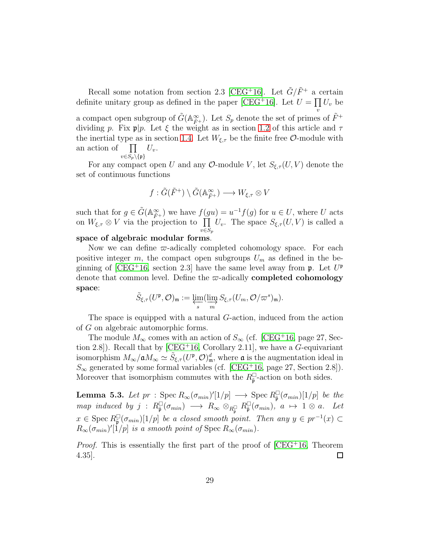Recall some notation from section 2.3 [\[CEG](#page-40-0)<sup>+</sup>16]. Let  $\tilde{G}/\tilde{F}^+$  a certain definite unitary group as defined in the paper [\[CEG](#page-40-0)<sup>+</sup>16]. Let  $U = \prod U_v$  be a compact open subgroup of  $\tilde{G}(\mathbb{A}_{\tilde{F}^+}^{\infty})$ . Let  $S_p$  denote the set of primes of  $\tilde{F}^+$ dividing p. Fix  $\mathfrak{p}|p$ . Let  $\xi$  the weight as in section [1.2](#page-2-0) of this article and  $\tau$ the inertial type as in section [1.4.](#page-6-0) Let  $W_{\xi,\tau}$  be the finite free  $\mathcal{O}\text{-module with}$ an action of  $U_v$ .

 $v{\in}S_p\backslash\{\mathfrak{p}\}$ 

For any compact open U and any O-module V, let  $S_{\xi,\tau}(U, V)$  denote the set of continuous functions

$$
f: \tilde{G}(\tilde{F}^+) \setminus \tilde{G}(\mathbb{A}_{\tilde{F}^+}^{\infty}) \longrightarrow W_{\xi,\tau} \otimes V
$$

such that for  $g \in \tilde{G}(\mathbb{A}_{\tilde{F}^+}^{\infty})$  we have  $f(gu) = u^{-1}f(g)$  for  $u \in U$ , where U acts on  $W_{\xi,\tau} \otimes V$  via the projection to  $\prod U_v$ . The space  $S_{\xi,\tau}(U, V)$  is called a  $v \in S_p$ 

#### space of algebraic modular forms.

Now we can define  $\varpi$ -adically completed cohomology space. For each positive integer m, the compact open subgroups  $U_m$  as defined in the be-ginning of [\[CEG](#page-40-0)<sup>+</sup>16, section 2.3] have the same level away from  $\mathfrak{p}$ . Let  $U^{\mathfrak{p}}$ denote that common level. Define the  $\varpi$ -adically **completed cohomology** space:

$$
\widetilde{S}_{\xi,\tau}(U^{\mathfrak{p}},\mathcal{O})_{\mathfrak{m}}:=\varprojlim_{s} (\varinjlim_{m} S_{\xi,\tau}(U_{m},\mathcal{O}/\varpi^{s})_{\mathfrak{m}}).
$$

The space is equipped with a natural G-action, induced from the action of G on algebraic automorphic forms.

The module  $M_{\infty}$  comes with an action of  $S_{\infty}$  (cf. [\[CEG](#page-40-0)<sup>+</sup>16, page 27, Section 2.8]). Recall that by  $[CEG+16, Corollary 2.11]$ , we have a G-equivariant isomorphism  $M_{\infty}/\mathfrak{a}M_{\infty} \simeq \tilde{S}_{\xi,\tau}(U^{\mathfrak{p}},\mathcal{O})_{\mathfrak{m}}^d$ , where  $\mathfrak{a}$  is the augmentation ideal in  $S_{\infty}$  generated by some formal variables (cf. [\[CEG](#page-40-0)<sup>+</sup>16, page 27, Section 2.8]). Moreover that isomorphism commutes with the  $R_{\tilde{\mathfrak{p}}}^{\square}$ -action on both sides.

<span id="page-28-0"></span>**Lemma 5.3.** Let  $pr :$  Spec  $R_{\infty}(\sigma_{min})'[1/p] \longrightarrow$  Spec  $R_{\tilde{\mathfrak{p}}}^{-}(\sigma_{min})[1/p]$  be the  $map \text{ induced by } j \text{ : } R^{\square}_{\tilde{\mathfrak{p}}}(\sigma_{min}) \longrightarrow R_{\infty} \otimes_{R^{\square}_{\tilde{\mathfrak{p}}}} R^{\square}_{\tilde{\mathfrak{p}}}(\sigma_{min}), \ a \mapsto 1 \otimes a.$  Let  $x \in \text{Spec } R^{\square}_{\tilde{\mathfrak{p}}}(\sigma_{min})[1/p]$  be a closed smooth point. Then any  $y \in pr^{-1}(x) \subset$  $R_{\infty}(\sigma_{min})'[1/p]$  is a smooth point of Spec  $R_{\infty}(\sigma_{min})$ .

*Proof.* This is essentially the first part of the proof of  $[CEG+16, Theorem$ 4.35].  $\Box$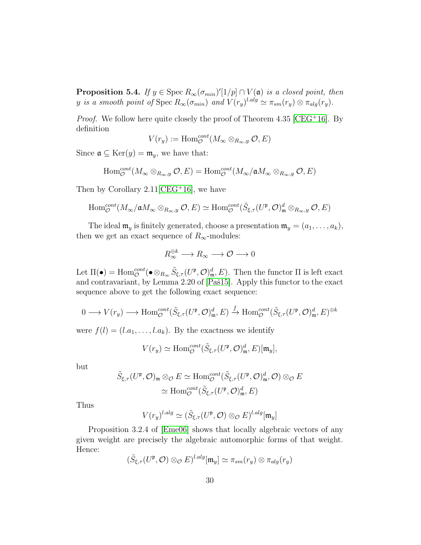<span id="page-29-0"></span>**Proposition 5.4.** If  $y \in \text{Spec } R_{\infty}(\sigma_{min})'[1/p] \cap V(\mathfrak{a})$  is a closed point, then y is a smooth point of Spec  $R_{\infty}(\sigma_{min})$  and  $V(r_y)^{l.alg} \simeq \pi_{sm}(r_y) \otimes \pi_{alg}(r_y)$ .

*Proof.* We follow here quite closely the proof of Theorem 4.35 [\[CEG](#page-40-0)<sup>+</sup>16]. By definition

$$
V(r_y) := \text{Hom}_{\mathcal{O}}^{cont}(M_{\infty} \otimes_{R_{\infty},y} \mathcal{O}, E)
$$

Since  $\mathfrak{a} \subseteq \text{Ker}(y) = \mathfrak{m}_y$ , we have that:

$$
\mathrm{Hom}_{\mathcal{O}}^{cont}(M_{\infty} \otimes_{R_{\infty},y} \mathcal{O}, E) = \mathrm{Hom}_{\mathcal{O}}^{cont}(M_{\infty}/\mathfrak{a}M_{\infty} \otimes_{R_{\infty},y} \mathcal{O}, E)
$$

Then by Corollary  $2.11$  [\[CEG](#page-40-0)<sup>+</sup>16], we have

$$
\mathrm{Hom}^{cont}_{\mathcal{O}}(M_{\infty}/\mathfrak{a} M_{\infty} \otimes_{R_{\infty},y} \mathcal{O}, E) \simeq \mathrm{Hom}^{cont}_{\mathcal{O}}(\tilde{S}_{\xi,\tau}(U^{\mathfrak{p}}, \mathcal{O})_{\mathfrak{m}}^{d} \otimes_{R_{\infty},y} \mathcal{O}, E)
$$

The ideal  $\mathfrak{m}_y$  is finitely generated, choose a presentation  $\mathfrak{m}_y = (a_1, \ldots, a_k)$ , then we get an exact sequence of  $R_{\infty}$ -modules:

$$
R_{\infty}^{\oplus k} \longrightarrow R_{\infty} \longrightarrow \mathcal{O} \longrightarrow 0
$$

Let  $\Pi(\bullet) = \text{Hom}_{\mathcal{O}}^{cont}(\bullet \otimes_{R_{\infty}} \tilde{S}_{\xi,\tau}(U^{\mathfrak{p}}, \mathcal{O})_{\mathfrak{m}}^d, E)$ . Then the functor  $\Pi$  is left exact and contravariant, by Lemma  $2.20$  of [Paš15]. Apply this functor to the exact sequence above to get the following exact sequence:

$$
0 \longrightarrow V(r_y) \longrightarrow \text{Hom}_{\mathcal{O}}^{cont}(\tilde{S}_{\xi,\tau}(U^{\mathfrak{p}},\mathcal{O})^d_{\mathfrak{m}},E) \stackrel{f}{\rightarrow} \text{Hom}_{\mathcal{O}}^{cont}(\tilde{S}_{\xi,\tau}(U^{\mathfrak{p}},\mathcal{O})^d_{\mathfrak{m}},E)^{\oplus k}
$$

were  $f(l) = (l.a_1, \ldots, l.a_k)$ . By the exactness we identify

$$
V(r_y) \simeq \text{Hom}_{\mathcal{O}}^{cont}(\tilde{S}_{\xi,\tau}(U^{\mathfrak{p}}, \mathcal{O})_{\mathfrak{m}}^d, E)[\mathfrak{m}_y],
$$

but

$$
\tilde{S}_{\xi,\tau}(U^{\mathfrak{p}},\mathcal{O})_{\mathfrak{m}} \otimes_{\mathcal{O}} E \simeq \text{Hom}_{\mathcal{O}}^{cont}(\tilde{S}_{\xi,\tau}(U^{\mathfrak{p}},\mathcal{O})_{\mathfrak{m}}^{d},\mathcal{O}) \otimes_{\mathcal{O}} E
$$

$$
\simeq \text{Hom}_{\mathcal{O}}^{cont}(\tilde{S}_{\xi,\tau}(U^{\mathfrak{p}},\mathcal{O})_{\mathfrak{m}}^{d},E)
$$

Thus

$$
V(r_y)^{l.alg} \simeq (\tilde{S}_{\xi,\tau}(U^{\mathfrak{p}}, \mathcal{O}) \otimes_{\mathcal{O}} E)^{l.alg}[\mathfrak{m}_y]
$$

Proposition 3.2.4 of [\[Eme06\]](#page-41-4) shows that locally algebraic vectors of any given weight are precisely the algebraic automorphic forms of that weight. Hence:

$$
(\tilde{S}_{\xi,\tau}(U^{\mathfrak{p}},\mathcal{O})\otimes_{\mathcal{O}}E)^{l.alg}[\mathfrak{m}_y]\simeq \pi_{sm}(r_y)\otimes \pi_{alg}(r_y)
$$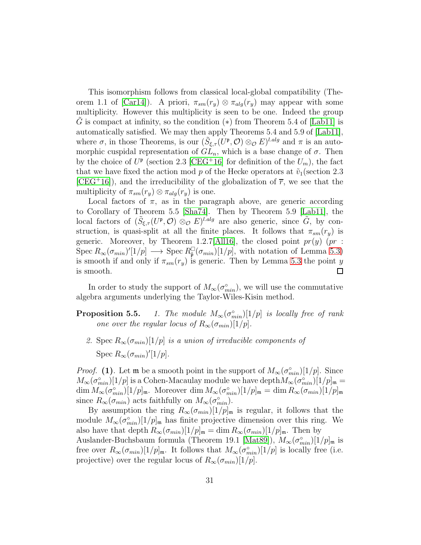This isomorphism follows from classical local-global compatibility (The-orem 1.1 of [\[Car14\]](#page-40-4)). A priori,  $\pi_{sm}(r_y) \otimes \pi_{alg}(r_y)$  may appear with some multiplicity. However this multiplicity is seen to be one. Indeed the group G is compact at infinity, so the condition  $(*)$  from Theorem 5.4 of [\[Lab11\]](#page-42-5) is automatically satisfied. We may then apply Theorems 5.4 and 5.9 of [\[Lab11\]](#page-42-5), where  $\sigma$ , in those Theorems, is our  $(\tilde{S}_{\xi,\tau}(U^{\mathfrak{p}},\mathcal{O})\otimes_{\mathcal{O}} E)^{l.alg}$  and  $\pi$  is an automorphic cuspidal representation of  $GL_n$ , which is a base change of  $\sigma$ . Then by the choice of  $U^{\mathfrak{p}}$  (section 2.3 [\[CEG](#page-40-0)<sup>+</sup>16] for definition of the  $U_m$ ), the fact that we have fixed the action mod p of the Hecke operators at  $\tilde{v}_1$  (section 2.3)  $[CEG+16]$  $[CEG+16]$ , and the irreducibility of the globalization of  $\overline{r}$ , we see that the multiplicity of  $\pi_{sm}(r_y) \otimes \pi_{alg}(r_y)$  is one.

Local factors of  $\pi$ , as in the paragraph above, are generic according to Corollary of Theorem 5.5 [\[Sha74\]](#page-42-6). Then by Theorem 5.9 [\[Lab11\]](#page-42-5), the local factors of  $(\tilde{S}_{\xi,\tau}(U^{\mathfrak{p}},\mathcal{O})\otimes_{\mathcal{O}} E)^{l.alg}$  are also generic, since  $\tilde{G}$ , by construction, is quasi-split at all the finite places. It follows that  $\pi_{sm}(r_{y})$  is generic. Moreover, by Theorem 1.2.7[\[All16\]](#page-38-2), the closed point  $pr(y)$  (pr : Spec  $R_{\infty}(\sigma_{min})'[1/p] \longrightarrow \text{Spec } R_{\tilde{\mathfrak{p}}}[\sigma_{min})[1/p],$  with notation of Lemma [5.3\)](#page-28-0) is smooth if and only if  $\pi_{sm}(r_y)$  is generic. Then by Lemma [5.3](#page-28-0) the point y is smooth.  $\Box$ 

In order to study the support of  $M_{\infty}(\sigma_{min}^{\circ})$ , we will use the commutative algebra arguments underlying the Taylor-Wiles-Kisin method.

- **Proposition 5.5.** 1. The module  $M_{\infty}(\sigma_{min}^{\circ})[1/p]$  is locally free of rank one over the regular locus of  $R_{\infty}(\sigma_{min})[1/p].$ 
	- 2. Spec  $R_{\infty}(\sigma_{min})[1/p]$  is a union of irreducible components of Spec  $R_{\infty}(\sigma_{min})'[1/p].$

*Proof.* (1). Let **m** be a smooth point in the support of  $M_{\infty}(\sigma_{min}^{\circ})[1/p]$ . Since  $M_{\infty}(\sigma_{min}^{\circ})[1/p]$  is a Cohen-Macaulay module we have depth $M_{\infty}(\sigma_{min}^{\circ})[1/p]_{\mathfrak{m}}=$  $\dim M_{\infty}(\sigma_{min}^{\circ})[1/p]_{\mathfrak{m}}.$  Moreover  $\dim M_{\infty}(\sigma_{min}^{\circ})[1/p]_{\mathfrak{m}} = \dim R_{\infty}(\sigma_{min})[1/p]_{\mathfrak{m}}$ since  $R_{\infty}(\sigma_{min})$  acts faithfully on  $M_{\infty}(\sigma_{min}^{\circ}).$ 

By assumption the ring  $R_{\infty}(\sigma_{min})[1/p]_{\mathfrak{m}}$  is regular, it follows that the module  $M_{\infty}(\sigma_{min}^{\circ})[1/p]_{\mathfrak{m}}$  has finite projective dimension over this ring. We also have that depth  $R_{\infty}(\sigma_{min})[1/p]_{\mathfrak{m}} = \dim R_{\infty}(\sigma_{min})[1/p]_{\mathfrak{m}}$ . Then by Auslander-Buchsbaum formula (Theorem 19.1 [\[Mat89\]](#page-42-7)),  $M_{\infty}(\sigma_{min}^{\circ})[1/p]_{\mathfrak{m}}$  is free over  $R_{\infty}(\sigma_{min})[1/p]_{\mathfrak{m}}$ . It follows that  $M_{\infty}(\sigma_{min}^{\circ})[1/p]$  is locally free (i.e. projective) over the regular locus of  $R_{\infty}(\sigma_{min})[1/p].$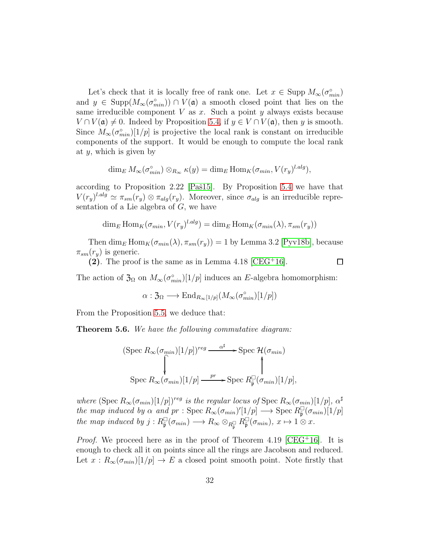Let's check that it is locally free of rank one. Let  $x \in \text{Supp } M_{\infty}(\sigma_{min}^{\circ})$ and  $y \in \text{Supp}(M_{\infty}(\sigma_{min}^{\circ})) \cap V(\mathfrak{a})$  a smooth closed point that lies on the same irreducible component  $V$  as  $x$ . Such a point  $y$  always exists because  $V \cap V(\mathfrak{a}) \neq 0$ . Indeed by Proposition [5.4,](#page-29-0) if  $y \in V \cap V(\mathfrak{a})$ , then y is smooth. Since  $M_{\infty}(\sigma_{min}^{\circ})[1/p]$  is projective the local rank is constant on irreducible components of the support. It would be enough to compute the local rank at  $y$ , which is given by

$$
\dim_E M_{\infty}(\sigma_{min}^{\circ}) \otimes_{R_{\infty}} \kappa(y) = \dim_E \text{Hom}_K(\sigma_{min}, V(r_y)^{l.alg}),
$$

according to Proposition 2.22 [Paš15]. By Proposition [5.4](#page-29-0) we have that  $V(r_y)^{l.alg} \simeq \pi_{sm}(r_y) \otimes \pi_{alg}(r_y)$ . Moreover, since  $\sigma_{alg}$  is an irreducible representation of a Lie algebra of  $G$ , we have

$$
\dim_E \text{Hom}_K(\sigma_{min}, V(r_y)^{l.alg}) = \dim_E \text{Hom}_K(\sigma_{min}(\lambda), \pi_{sm}(r_y))
$$

Then dim<sub>E</sub> Hom<sub>K</sub>( $\sigma_{min}(\lambda), \pi_{sm}(r_y)$ ) = 1 by Lemma 3.2 [\[Pyv18b\]](#page-42-1), because  $\pi_{sm}(r_y)$  is generic.

(2). The proof is the same as in Lemma 4.18  $[CEG+16]$ .

 $\Box$ 

The action of  $\mathfrak{Z}_{\Omega}$  on  $M_{\infty}(\sigma_{min}^{\circ})[1/p]$  induces an E-algebra homomorphism:

$$
\alpha: \mathfrak{Z}_{\Omega} \longrightarrow \text{End}_{R_{\infty}[1/p]}(M_{\infty}(\sigma_{min}^{\circ})[1/p])
$$

From the Proposition 5.5, we deduce that:

<span id="page-31-0"></span>Theorem 5.6. We have the following commutative diagram:

(Spec 
$$
R_{\infty}(\sigma_{min})[1/p])^{reg}
$$
  $\xrightarrow{\alpha^{\sharp}}$  - Spec  $\mathcal{H}(\sigma_{min})$   
\nSpec  $R_{\infty}(\sigma_{min})[1/p] \xrightarrow{pr}$  - Spec  $R_{\tilde{p}}^{\square}(\sigma_{min})[1/p]$ ,

where  $(\text{Spec } R_{\infty}(\sigma_{min})[1/p])^{reg}$  is the regular locus of  $\text{Spec } R_{\infty}(\sigma_{min})[1/p], \alpha^{\sharp}$ the map induced by  $\alpha$  and  $pr :$  Spec  $R_{\infty}(\sigma_{min})'[1/p] \longrightarrow$  Spec  $R_{\tilde{p}}^{[1]}(\sigma_{min})[1/p]$ the map induced by  $j: R_{\tilde{\mathfrak{p}}}^{\square}(\sigma_{min}) \longrightarrow R_{\infty} \otimes_{R_{\tilde{\mathfrak{p}}}^{\square}} R_{\tilde{\mathfrak{p}}}^{\square}(\sigma_{min}), x \mapsto 1 \otimes x.$ 

*Proof.* We proceed here as in the proof of Theorem 4.19 [\[CEG](#page-40-0)<sup>+</sup>16]. It is enough to check all it on points since all the rings are Jacobson and reduced. Let  $x : R_\infty(\sigma_{min})[1/p] \to E$  a closed point smooth point. Note firstly that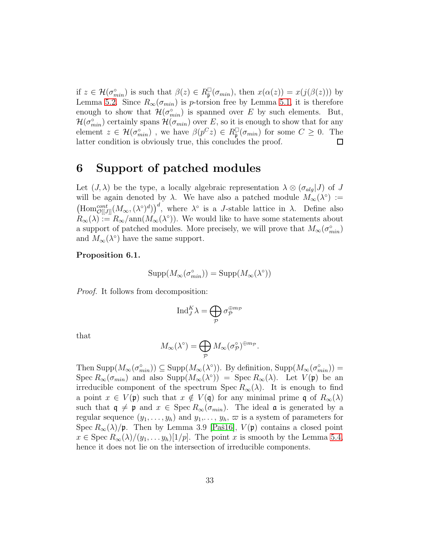if  $z \in \mathcal{H}(\sigma_{min}^{\circ})$  is such that  $\beta(z) \in R_{\tilde{\mathfrak{p}}}^{\square}(\sigma_{min})$ , then  $x(\alpha(z)) = x(j(\beta(z)))$  by Lemma [5.2.](#page-27-0) Since  $R_{\infty}(\sigma_{min})$  is p-torsion free by Lemma [5.1,](#page-26-0) it is therefore enough to show that  $\mathcal{H}(\sigma_{min}^{\circ})$  is spanned over E by such elements. But,  $\mathcal{H}(\sigma_{min}^{\circ})$  certainly spans  $\mathcal{H}(\sigma_{min})$  over E, so it is enough to show that for any element  $z \in \mathcal{H}(\sigma_{min}^{\circ})$ , we have  $\beta(p^Cz) \in R_{\tilde{\mathfrak{p}}}(\sigma_{min})$  for some  $C \geq 0$ . The latter condition is obviously true, this concludes the proof. □

# <span id="page-32-0"></span>6 Support of patched modules

Let  $(J, \lambda)$  be the type, a locally algebraic representation  $\lambda \otimes (\sigma_{alg} J)$  of J will be again denoted by  $\lambda$ . We have also a patched module  $M_{\infty}(\lambda^{\circ}) :=$  $(\text{Hom}^{cont}_{\mathcal{O}[[J]]}(M_{\infty},(\lambda^{\circ})^d))^d$ , where  $\lambda^{\circ}$  is a *J*-stable lattice in  $\lambda$ . Define also  $R_{\infty}(\lambda) := R_{\infty}/\text{ann}(M_{\infty}(\lambda^{\circ}))$ . We would like to have some statements about a support of patched modules. More precisely, we will prove that  $M_{\infty}(\sigma_{min}^{\circ})$ and  $M_{\infty}(\lambda^{\circ})$  have the same support.

#### <span id="page-32-1"></span>Proposition 6.1.

$$
\mathrm{Supp}(M_{\infty}(\sigma_{min}^{\circ}))=\mathrm{Supp}(M_{\infty}(\lambda^{\circ}))
$$

Proof. It follows from decomposition:

$$
\mathrm{Ind}_{J}^{K} \lambda = \bigoplus_{\mathcal{P}} \sigma_{\mathcal{P}}^{\oplus m_{\mathcal{P}}}
$$

that

$$
M_\infty(\lambda^\circ)=\bigoplus_{\mathcal{P}}M_\infty(\sigma_{\mathcal{P}}^\circ)^{\oplus m_{\mathcal{P}}}.
$$

Then  $\text{Supp}(M_{\infty}(\sigma_{min}^{\circ})) \subseteq \text{Supp}(M_{\infty}(\lambda^{\circ}))$ . By definition,  $\text{Supp}(M_{\infty}(\sigma_{min}^{\circ})) =$ Spec  $R_\infty(\sigma_{min})$  and also Supp $(M_\infty(\lambda^\circ)) = \text{Spec } R_\infty(\lambda)$ . Let  $V(\mathfrak{p})$  be an irreducible component of the spectrum Spec  $R_{\infty}(\lambda)$ . It is enough to find a point  $x \in V(\mathfrak{p})$  such that  $x \notin V(\mathfrak{q})$  for any minimal prime  $\mathfrak{q}$  of  $R_{\infty}(\lambda)$ such that  $\mathfrak{q} \neq \mathfrak{p}$  and  $x \in \text{Spec } R_{\infty}(\sigma_{min})$ . The ideal  $\mathfrak{a}$  is generated by a regular sequence  $(y_1, \ldots, y_h)$  and  $y_1, \ldots, y_h$ ,  $\varpi$  is a system of parameters for Spec  $R_{\infty}(\lambda)/\mathfrak{p}$ . Then by Lemma 3.9 [Paš16],  $V(\mathfrak{p})$  contains a closed point  $x \in \text{Spec } R_{\infty}(\lambda)/(y_1, \ldots y_h)[1/p].$  The point x is smooth by the Lemma [5.4,](#page-29-0) hence it does not lie on the intersection of irreducible components.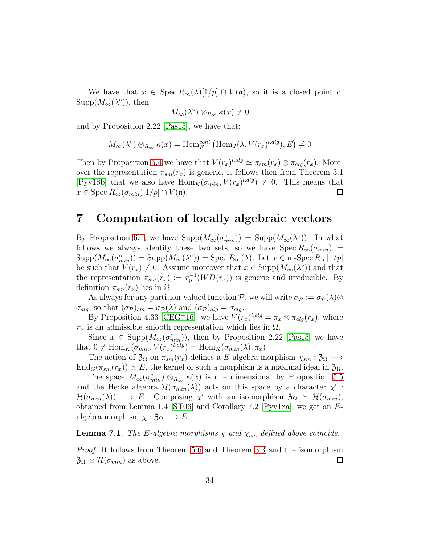We have that  $x \in \text{Spec } R_{\infty}(\lambda)[1/p] \cap V(\mathfrak{a})$ , so it is a closed point of  $\text{Supp}(M_{\infty}(\lambda^{\circ}))$ , then

$$
M_{\infty}(\lambda^{\circ}) \otimes_{R_{\infty}} \kappa(x) \neq 0
$$

and by Proposition 2.22 [Paš15], we have that:

$$
M_{\infty}(\lambda^{\circ}) \otimes_{R_{\infty}} \kappa(x) = \text{Hom}_{E}^{cont} \left( \text{Hom}_{J}(\lambda, V(r_{x})^{l.alg}), E \right) \neq 0
$$

Then by Proposition [5.4](#page-29-0) we have that  $V(r_x)^{l.alg} \simeq \pi_{sm}(r_x) \otimes \pi_{alg}(r_x)$ . Moreover the representation  $\pi_{sm}(r_x)$  is generic, it follows then from Theorem 3.1 [\[Pyv18b\]](#page-42-1) that we also have  $\text{Hom}_K(\sigma_{min}, V(r_x)^{l.alg}) \neq 0$ . This means that  $x \in \text{Spec } R_{\infty}(\sigma_{min})[1/p] \cap V(\mathfrak{a}).$  $\Box$ 

### <span id="page-33-0"></span>7 Computation of locally algebraic vectors

By Proposition [6.1,](#page-32-1) we have  $\text{Supp}(M_{\infty}(\sigma_{min}^{\circ})) = \text{Supp}(M_{\infty}(\lambda^{\circ}))$ . In what follows we always identify these two sets, so we have  $Spec R_{\infty}(\sigma_{min})$  =  $\text{Supp}(M_{\infty}(\sigma_{min}^{\circ})) = \text{Supp}(M_{\infty}(\lambda^{\circ})) = \text{Spec } R_{\infty}(\lambda)$ . Let  $x \in \text{m-Spec } R_{\infty}[1/p]$ be such that  $V(r_x) \neq 0$ . Assume moreover that  $x \in \text{Supp}(M_\infty(\lambda^\circ))$  and that the representation  $\pi_{sm}(r_x) := r_p^{-1}(WD(r_x))$  is generic and irreducible. By definition  $\pi_{sm}(r_x)$  lies in  $\Omega$ .

As always for any partition-valued function P, we will write  $\sigma_{\mathcal{P}} := \sigma_{\mathcal{P}}(\lambda) \otimes$  $\sigma_{alg}$ , so that  $(\sigma_{\mathcal{P}})_{sm} = \sigma_{\mathcal{P}}(\lambda)$  and  $(\sigma_{\mathcal{P}})_{alg} = \sigma_{alg}$ .

By Proposition 4.33 [\[CEG](#page-40-0)<sup>+</sup>16], we have  $V(r_x)^{l.alg} = \pi_x \otimes \pi_{alg}(r_x)$ , where  $\pi_x$  is an admissible smooth representation which lies in  $\Omega$ .

Since  $x \in \text{Supp}(M_{\infty}(\sigma_{min}^{\circ}))$ , then by Proposition 2.22 [Paš15] we have that  $0 \neq \text{Hom}_K(\sigma_{min}, V(r_x)^{l.alg}) = \text{Hom}_K(\sigma_{min}(\lambda), \pi_x)$ 

The action of  $\mathfrak{Z}_{\Omega}$  on  $\pi_{sm}(r_x)$  defines a E-algebra morphism  $\chi_{sm} : \mathfrak{Z}_{\Omega} \longrightarrow$  $\text{End}_G(\pi_{sm}(r_x)) \simeq E$ , the kernel of such a morphism is a maximal ideal in  $\mathfrak{Z}_{\Omega}$ .

The space  $M_{\infty}(\sigma_{min}^{\circ}) \otimes_{R_{\infty}} \kappa(x)$  is one dimensional by Proposition 5.5 and the Hecke algebra  $\mathcal{H}(\sigma_{min}(\lambda))$  acts on this space by a character  $\chi'$ :  $\mathcal{H}(\sigma_{min}(\lambda)) \longrightarrow E$ . Composing  $\chi'$  with an isomorphism  $\mathfrak{Z}_{\Omega} \simeq \mathcal{H}(\sigma_{min}),$ obtained from Lemma 1.4 [\[ST06\]](#page-43-5) and Corollary 7.2 [\[Pyv18a\]](#page-42-0), we get an Ealgebra morphism  $\chi : \mathfrak{Z}_{\Omega} \longrightarrow E$ .

#### <span id="page-33-1"></span>**Lemma 7.1.** The E-algebra morphisms  $\chi$  and  $\chi_{sm}$  defined above coincide.

Proof. It follows from Theorem [5.6](#page-31-0) and Theorem [3.3](#page-15-1) and the isomorphism  $\mathfrak{Z}_\Omega \simeq \mathcal{H}(\sigma_{min})$  as above.  $\Box$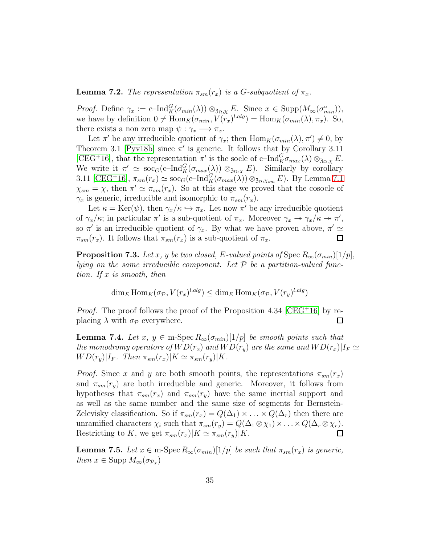<span id="page-34-0"></span>**Lemma 7.2.** The representation  $\pi_{sm}(r_x)$  is a G-subquotient of  $\pi_x$ .

*Proof.* Define  $\gamma_x := c-\text{Ind}_{K}^{G}(\sigma_{min}(\lambda)) \otimes_{\mathfrak{Z}_{\Omega},\chi} E$ . Since  $x \in \text{Supp}(M_{\infty}(\sigma_{min}^{\circ})),$ we have by definition  $0 \neq \text{Hom}_K(\sigma_{min}, V(r_x)^{l.alg}) = \text{Hom}_K(\sigma_{min}(\lambda), \pi_x)$ . So, there exists a non zero map  $\psi : \gamma_x \longrightarrow \pi_x$ .

Let  $\pi'$  be any irreducible quotient of  $\gamma_x$ ; then  $\text{Hom}_K(\sigma_{min}(\lambda), \pi') \neq 0$ , by Theorem 3.1 [\[Pyv18b\]](#page-42-1) since  $\pi'$  is generic. It follows that by Corollary 3.11 [\[CEG](#page-40-0)<sup>+</sup>16], that the representation  $\pi'$  is the socle of c-Ind ${}_{K}^{G} \sigma_{max}(\lambda) \otimes_{\mathfrak{Z}_{\Omega},\chi} E$ . We write it  $\pi' \simeq \sec_G(\mathrm{c\text{--} Ind}_K^G(\sigma_{max}(\lambda)) \otimes_{\mathfrak{Z}_{\Omega,X}} E)$ . Similarly by corollary 3.11 [\[CEG](#page-40-0)<sup>+</sup>16],  $\pi_{sm}(r_x) \simeq \text{soc}_G(c-\text{Ind}_K^G(\sigma_{max}(\lambda)) \otimes_{\mathfrak{Z}_{\Omega},\chi_{sm}} E)$ . By Lemma [7.1](#page-33-1)  $\chi_{sm} = \chi$ , then  $\pi' \simeq \pi_{sm}(r_x)$ . So at this stage we proved that the cosocle of  $\gamma_x$  is generic, irreducible and isomorphic to  $\pi_{sm}(r_x)$ .

Let  $\kappa = \text{Ker}(\psi)$ , then  $\gamma_x/\kappa \hookrightarrow \pi_x$ . Let now  $\pi'$  be any irreducible quotient of  $\gamma_x/\kappa$ ; in particular  $\pi'$  is a sub-quotient of  $\pi_x$ . Moreover  $\gamma_x \to \gamma_x/\kappa \to \pi'$ , so  $\pi'$  is an irreducible quotient of  $\gamma_x$ . By what we have proven above,  $\pi' \simeq$  $\pi_{sm}(r_x)$ . It follows that  $\pi_{sm}(r_x)$  is a sub-quotient of  $\pi_x$ .  $\Box$ 

<span id="page-34-1"></span>**Proposition 7.3.** Let x, y be two closed, E-valued points of Spec  $R_{\infty}(\sigma_{min})[1/p]$ , lying on the same irreducible component. Let  $P$  be a partition-valued function. If x is smooth, then

$$
\dim_E \text{Hom}_K(\sigma_{\mathcal{P}}, V(r_x)^{l.alg}) \le \dim_E \text{Hom}_K(\sigma_{\mathcal{P}}, V(r_y)^{l.alg})
$$

*Proof.* The proof follows the proof of the Proposition 4.34 [\[CEG](#page-40-0)<sup>+</sup>16] by replacing  $\lambda$  with  $\sigma_{\mathcal{P}}$  everywhere.  $\Box$ 

<span id="page-34-3"></span>**Lemma 7.4.** Let x,  $y \in \text{m-Spec } R_{\infty}(\sigma_{min})[1/p]$  be smooth points such that the monodromy operators of  $WD(r_x)$  and  $WD(r_y)$  are the same and  $WD(r_x)|I_F \simeq$  $WD(r_y)|I_F$ . Then  $\pi_{sm}(r_x)|K \simeq \pi_{sm}(r_y)|K$ .

*Proof.* Since x and y are both smooth points, the representations  $\pi_{sm}(r_x)$ and  $\pi_{sm}(r_u)$  are both irreducible and generic. Moreover, it follows from hypotheses that  $\pi_{sm}(r_x)$  and  $\pi_{sm}(r_y)$  have the same inertial support and as well as the same number and the same size of segments for Bernstein-Zelevisky classification. So if  $\pi_{sm}(r_x) = Q(\Delta_1) \times ... \times Q(\Delta_r)$  then there are unramified characters  $\chi_i$  such that  $\pi_{sm}(r_y) = Q(\Delta_1 \otimes \chi_1) \times \ldots \times Q(\Delta_r \otimes \chi_r)$ . Restricting to K, we get  $\pi_{sm}(r_x)|K \simeq \pi_{sm}(r_y)|K$ .  $\Box$ 

<span id="page-34-2"></span>**Lemma 7.5.** Let  $x \in \text{m-Spec } R_{\infty}(\sigma_{min})[1/p]$  be such that  $\pi_{sm}(r_x)$  is generic, then  $x \in \text{Supp } M_{\infty}(\sigma_{\mathcal{P}_x})$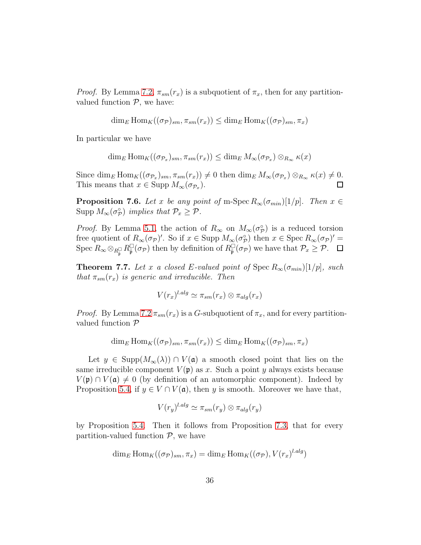*Proof.* By Lemma [7.2,](#page-34-0)  $\pi_{sm}(r_x)$  is a subquotient of  $\pi_x$ , then for any partitionvalued function  $P$ , we have:

$$
\dim_E \text{Hom}_K((\sigma_{\mathcal{P}})_{sm}, \pi_{sm}(r_x)) \le \dim_E \text{Hom}_K((\sigma_{\mathcal{P}})_{sm}, \pi_x)
$$

In particular we have

$$
\dim_E \text{Hom}_K((\sigma_{\mathcal{P}_x})_{sm}, \pi_{sm}(r_x)) \le \dim_E M_\infty(\sigma_{\mathcal{P}_x}) \otimes_{R_\infty} \kappa(x)
$$

Since  $\dim_E \text{Hom}_K((\sigma_{\mathcal{P}_x})_{sm}, \pi_{sm}(r_x)) \neq 0$  then  $\dim_E M_\infty(\sigma_{\mathcal{P}_x}) \otimes_{R_\infty} \kappa(x) \neq 0$ . This means that  $x \in \text{Supp } M_{\infty}(\sigma_{\mathcal{P}_x}).$  $\Box$ 

<span id="page-35-1"></span>**Proposition 7.6.** Let x be any point of m-Spec  $R_{\infty}(\sigma_{min})[1/p]$ . Then  $x \in$ Supp  $M_{\infty}(\sigma_{\mathcal{P}}^{\circ})$  implies that  $\mathcal{P}_x \geq \mathcal{P}$ .

*Proof.* By Lemma [5.1,](#page-26-0) the action of  $R_{\infty}$  on  $M_{\infty}(\sigma_{\mathcal{P}}^{\circ})$  is a reduced torsion free quotient of  $R_{\infty}(\sigma_{\mathcal{P}})'$ . So if  $x \in \text{Supp } M_{\infty}(\sigma_{\mathcal{P}}^{\circ})$  then  $x \in \text{Spec } R_{\infty}(\sigma_{\mathcal{P}})' =$ Spec  $R_{\infty} \otimes_{R_{\tilde{\mathfrak{p}}}^{\square}} R_{\tilde{\mathfrak{p}}}^{\square}(\sigma_{\mathcal{P}})$  then by definition of  $R_{\tilde{\mathfrak{p}}}^{\square}(\sigma_{\mathcal{P}})$  we have that  $\mathcal{P}_x \geq \mathcal{P}$ .

<span id="page-35-0"></span>**Theorem 7.7.** Let x a closed E-valued point of Spec  $R_{\infty}(\sigma_{min})[1/p]$ , such that  $\pi_{sm}(r_x)$  is generic and irreducible. Then

$$
V(r_x)^{l.alg} \simeq \pi_{sm}(r_x) \otimes \pi_{alg}(r_x)
$$

*Proof.* By Lemma [7.2](#page-34-0)  $\pi_{sm}(r_x)$  is a G-subquotient of  $\pi_x$ , and for every partitionvalued function P

$$
\dim_E \text{Hom}_K((\sigma_{\mathcal{P}})_{sm}, \pi_{sm}(r_x)) \le \dim_E \text{Hom}_K((\sigma_{\mathcal{P}})_{sm}, \pi_x)
$$

Let  $y \in \text{Supp}(M_{\infty}(\lambda)) \cap V(\mathfrak{a})$  a smooth closed point that lies on the same irreducible component  $V(\mathfrak{p})$  as x. Such a point y always exists because  $V(\mathfrak{p}) \cap V(\mathfrak{a}) \neq 0$  (by definition of an automorphic component). Indeed by Proposition [5.4,](#page-29-0) if  $y \in V \cap V(\mathfrak{a})$ , then y is smooth. Moreover we have that,

$$
V(r_y)^{l.alg} \simeq \pi_{sm}(r_y) \otimes \pi_{alg}(r_y)
$$

by Proposition [5.4.](#page-29-0) Then it follows from Proposition [7.3,](#page-34-1) that for every partition-valued function  $P$ , we have

$$
\dim_E \text{Hom}_K((\sigma_P)_{sm}, \pi_x) = \dim_E \text{Hom}_K((\sigma_P), V(r_x)^{l.alg})
$$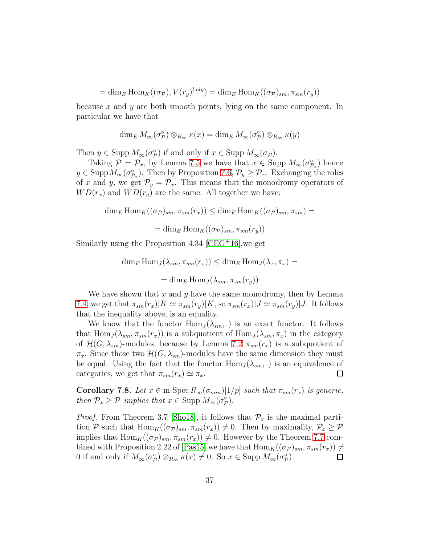= dim<sub>E</sub> Hom<sub>K</sub>(( $\sigma_p$ ),  $V(r_y)^{l.alg}$ ) = dim<sub>E</sub> Hom<sub>K</sub>(( $\sigma_p$ )<sub>sm</sub>,  $\pi_{sm}(r_y)$ )

because x and y are both smooth points, lying on the same component. In particular we have that

$$
\dim_E M_\infty(\sigma_{\mathcal{P}}^{\circ}) \otimes_{R_\infty} \kappa(x) = \dim_E M_\infty(\sigma_{\mathcal{P}}^{\circ}) \otimes_{R_\infty} \kappa(y)
$$

Then  $y \in \text{Supp } M_{\infty}(\sigma_{\mathcal{P}}^{\circ})$  if and only if  $x \in \text{Supp } M_{\infty}(\sigma_{\mathcal{P}})$ .

Taking  $\mathcal{P} = \mathcal{P}_x$ , by Lemma [7.5](#page-34-2) we have that  $x \in \text{Supp } M_{\infty}(\sigma_{\mathcal{P}_x}^{\circ})$  hence  $y \in \text{Supp}\,M_\infty(\sigma_{\mathcal{P}_x}^{\circ})$ . Then by Proposition [7.6,](#page-35-1)  $\mathcal{P}_y \geq \mathcal{P}_x$ . Exchanging the roles of x and y, we get  $\mathcal{P}_y = \mathcal{P}_x$ . This means that the monodromy operators of  $WD(r_x)$  and  $WD(r_y)$  are the same. All together we have:

$$
\dim_E \text{Hom}_K((\sigma_{\mathcal{P}})_{sm}, \pi_{sm}(r_x)) \le \dim_E \text{Hom}_K((\sigma_{\mathcal{P}})_{sm}, \pi_{sm}) =
$$

$$
= \dim_E \text{Hom}_K((\sigma_{\mathcal{P}})_{sm}, \pi_{sm}(r_y))
$$

Similarly using the Proposition 4.34 [\[CEG](#page-40-0)<sup>+</sup>16],we get

$$
\dim_E \text{Hom}_J(\lambda_{sm}, \pi_{sm}(r_x)) \le \dim_E \text{Hom}_J(\lambda_x, \pi_x) =
$$
  
= 
$$
\dim_E \text{Hom}_J(\lambda_{sm}, \pi_{sm}(r_y))
$$

We have shown that  $x$  and  $y$  have the same monodromy, then by Lemma [7.4,](#page-34-3) we get that  $\pi_{sm}(r_x)|K \simeq \pi_{sm}(r_y)|K$ , so  $\pi_{sm}(r_x)|J \simeq \pi_{sm}(r_y)|J$ . It follows that the inequality above, is an equality.

We know that the functor  $\text{Hom}_J(\lambda_{sm},.)$  is an exact functor. It follows that  $\text{Hom}_J(\lambda_{sm}, \pi_{sm}(r_x))$  is a subquotient of  $\text{Hom}_J(\lambda_{sm}, \pi_x)$  in the category of  $\mathcal{H}(G, \lambda_{sm})$ -modules, because by Lemma [7.2](#page-34-0)  $\pi_{sm}(r_x)$  is a subquotient of  $\pi_x$ . Since those two  $\mathcal{H}(G, \lambda_{sm})$ -modules have the same dimension they must be equal. Using the fact that the functor  $\text{Hom}_J(\lambda_{sm},.)$  is an equivalence of categories, we get that  $\pi_{sm}(r_x) \simeq \pi_x$ .  $\Box$ 

Corollary 7.8. Let  $x \in \text{m-Spec } R_{\infty}(\sigma_{min})[1/p]$  such that  $\pi_{sm}(r_x)$  is generic, then  $P_x \ge P$  implies that  $x \in \text{Supp } M_\infty(\sigma_P^{\circ})$ .

*Proof.* From Theorem 3.7 [\[Sho18\]](#page-43-6), it follows that  $\mathcal{P}_x$  is the maximal partition P such that  $\text{Hom}_K((\sigma_{\mathcal{P}})_{sm}, \pi_{sm}(r_x)) \neq 0$ . Then by maximality,  $\mathcal{P}_x \geq \mathcal{P}$ implies that  $\text{Hom}_K((\sigma_{\mathcal{P}})_{sm}, \pi_{sm}(r_x)) \neq 0$ . However by the Theorem [7.7](#page-35-0) combined with Proposition 2.22 of [Paš15] we have that  $\text{Hom}_K((\sigma_{\mathcal{P}})_{sm}, \pi_{sm}(r_x)) \neq$ 0 if and only if  $M_{\infty}(\sigma_{\mathcal{P}}^{\circ}) \otimes_{R_{\infty}} \kappa(x) \neq 0$ . So  $x \in \text{Supp } M_{\infty}(\sigma_{\mathcal{P}}^{\circ})$ .  $\Box$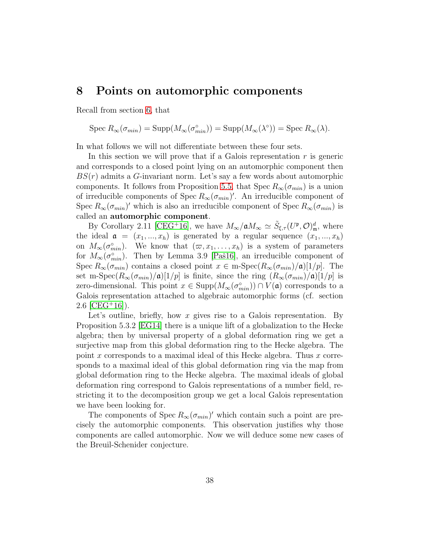### <span id="page-37-0"></span>8 Points on automorphic components

Recall from section [6,](#page-32-0) that

Spec 
$$
R_{\infty}(\sigma_{min}) = \text{Supp}(M_{\infty}(\sigma_{min}^{\circ})) = \text{Supp}(M_{\infty}(\lambda^{\circ})) = \text{Spec } R_{\infty}(\lambda).
$$

In what follows we will not differentiate between these four sets.

In this section we will prove that if a Galois representation  $r$  is generic and corresponds to a closed point lying on an automorphic component then  $BS(r)$  admits a G-invariant norm. Let's say a few words about automorphic components. It follows from Proposition 5.5, that Spec  $R_{\infty}(\sigma_{min})$  is a union of irreducible components of Spec  $R_{\infty}(\sigma_{min})'$ . An irreducible component of Spec  $R_{\infty}(\sigma_{min})'$  which is also an irreducible component of Spec  $R_{\infty}(\sigma_{min})$  is called an automorphic component.

By Corollary 2.11 [\[CEG](#page-40-0)<sup>+</sup>16], we have  $M_{\infty}/\mathfrak{a} M_{\infty} \simeq \tilde{S}_{\xi,\tau}(U^{\mathfrak{p}},\mathcal{O})_{\mathfrak{m}}^{d}$ , where the ideal  $a = (x_1, ..., x_h)$  is generated by a regular sequence  $(x_1, ..., x_h)$ on  $M_{\infty}(\sigma_{min}^{\circ})$ . We know that  $(\varpi, x_1, \ldots, x_h)$  is a system of parameters for  $M_{\infty}(\sigma_{min}^{\circ})$ . Then by Lemma 3.9 [Paš16], an irreducible component of Spec  $R_{\infty}(\sigma_{min})$  contains a closed point  $x \in \text{m-Spec}(R_{\infty}(\sigma_{min})/\mathfrak{a})[1/p]$ . The set m-Spec $(R_{\infty}(\sigma_{min})/\mathfrak{a})[1/p]$  is finite, since the ring  $(R_{\infty}(\sigma_{min})/\mathfrak{a})[1/p]$  is zero-dimensional. This point  $x \in \text{Supp}(M_{\infty}(\sigma_{min}^{\circ})) \cap V(\mathfrak{a})$  corresponds to a Galois representation attached to algebraic automorphic forms (cf. section  $2.6$  [\[CEG](#page-40-0)<sup>+</sup>16]).

Let's outline, briefly, how x gives rise to a Galois representation. By Proposition 5.3.2 [\[EG14\]](#page-41-5) there is a unique lift of a globalization to the Hecke algebra; then by universal property of a global deformation ring we get a surjective map from this global deformation ring to the Hecke algebra. The point x corresponds to a maximal ideal of this Hecke algebra. Thus  $x$  corresponds to a maximal ideal of this global deformation ring via the map from global deformation ring to the Hecke algebra. The maximal ideals of global deformation ring correspond to Galois representations of a number field, restricting it to the decomposition group we get a local Galois representation we have been looking for.

The components of Spec  $R_{\infty}(\sigma_{min})'$  which contain such a point are precisely the automorphic components. This observation justifies why those components are called automorphic. Now we will deduce some new cases of the Breuil-Schenider conjecture.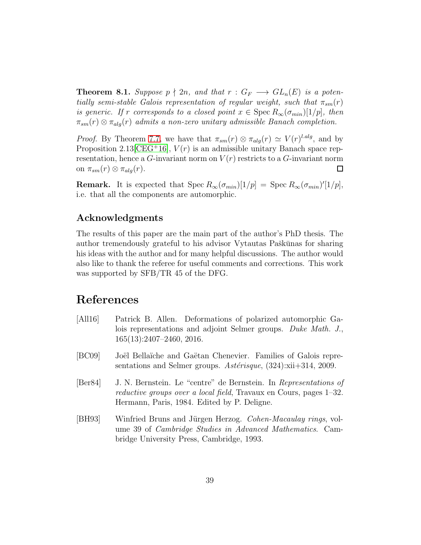**Theorem 8.1.** Suppose  $p \nmid 2n$ , and that  $r : G_F \longrightarrow GL_n(E)$  is a potentially semi-stable Galois representation of regular weight, such that  $\pi_{sm}(r)$ is generic. If r corresponds to a closed point  $x \in \text{Spec } R_\infty(\sigma_{min})[1/p]$ , then  $\pi_{sm}(r) \otimes \pi_{ala}(r)$  admits a non-zero unitary admissible Banach completion.

*Proof.* By Theorem [7.7,](#page-35-0) we have that  $\pi_{sm}(r) \otimes \pi_{alg}(r) \simeq V(r)^{l.alg}$ , and by Proposition 2.13 [\[CEG](#page-40-0)<sup>+</sup>16],  $V(r)$  is an admissible unitary Banach space representation, hence a G-invariant norm on  $V(r)$  restricts to a G-invariant norm on  $\pi_{sm}(r) \otimes \pi_{alg}(r)$ .  $\Box$ 

**Remark.** It is expected that  $Spec R_{\infty}(\sigma_{min})[1/p] = Spec R_{\infty}(\sigma_{min})'[1/p],$ i.e. that all the components are automorphic.

### <span id="page-38-0"></span>Acknowledgments

The results of this paper are the main part of the author's PhD thesis. The author tremendously grateful to his advisor Vytautas Paškūnas for sharing his ideas with the author and for many helpful discussions. The author would also like to thank the referee for useful comments and corrections. This work was supported by SFB/TR 45 of the DFG.

# References

- <span id="page-38-2"></span>[All16] Patrick B. Allen. Deformations of polarized automorphic Galois representations and adjoint Selmer groups. Duke Math. J., 165(13):2407–2460, 2016.
- [BC09] Joël Bellaïche and Gaëtan Chenevier. Families of Galois representations and Selmer groups.  $Ast\acute{e}risque$ , (324):xii+314, 2009.
- <span id="page-38-1"></span>[Ber84] J. N. Bernstein. Le "centre" de Bernstein. In Representations of reductive groups over a local field, Travaux en Cours, pages 1–32. Hermann, Paris, 1984. Edited by P. Deligne.
- [BH93] Winfried Bruns and Jürgen Herzog. Cohen-Macaulay rings, volume 39 of Cambridge Studies in Advanced Mathematics. Cambridge University Press, Cambridge, 1993.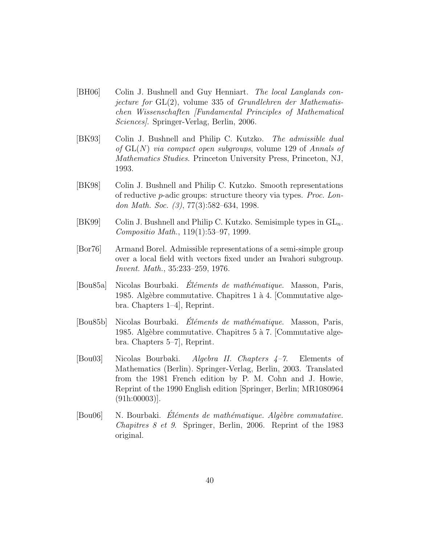- [BH06] Colin J. Bushnell and Guy Henniart. The local Langlands conjecture for  $GL(2)$ , volume 335 of *Grundlehren der Mathematis*chen Wissenschaften [Fundamental Principles of Mathematical Sciences]. Springer-Verlag, Berlin, 2006.
- <span id="page-39-1"></span>[BK93] Colin J. Bushnell and Philip C. Kutzko. The admissible dual of  $GL(N)$  via compact open subgroups, volume 129 of Annals of Mathematics Studies. Princeton University Press, Princeton, NJ, 1993.
- <span id="page-39-0"></span>[BK98] Colin J. Bushnell and Philip C. Kutzko. Smooth representations of reductive p-adic groups: structure theory via types. Proc. London Math. Soc. (3), 77(3):582–634, 1998.
- <span id="page-39-2"></span>[BK99] Colin J. Bushnell and Philip C. Kutzko. Semisimple types in  $GL_n$ . Compositio Math., 119(1):53–97, 1999.
- [Bor76] Armand Borel. Admissible representations of a semi-simple group over a local field with vectors fixed under an Iwahori subgroup. Invent. Math., 35:233–259, 1976.
- [Bou85a] Nicolas Bourbaki. *Éléments de mathématique*. Masson, Paris, 1985. Algèbre commutative. Chapitres 1 à 4. [Commutative algebra. Chapters 1–4], Reprint.
- [Bou85b] Nicolas Bourbaki. Éléments de mathématique. Masson, Paris, 1985. Algèbre commutative. Chapitres 5 à 7. [Commutative algebra. Chapters 5–7], Reprint.
- [Bou03] Nicolas Bourbaki. Algebra II. Chapters 4–7. Elements of Mathematics (Berlin). Springer-Verlag, Berlin, 2003. Translated from the 1981 French edition by P. M. Cohn and J. Howie, Reprint of the 1990 English edition [Springer, Berlin; MR1080964 (91h:00003)].
- $[Bound6]$  N. Bourbaki. Eléments de mathématique. Algèbre commutative. Chapitres 8 et 9. Springer, Berlin, 2006. Reprint of the 1983 original.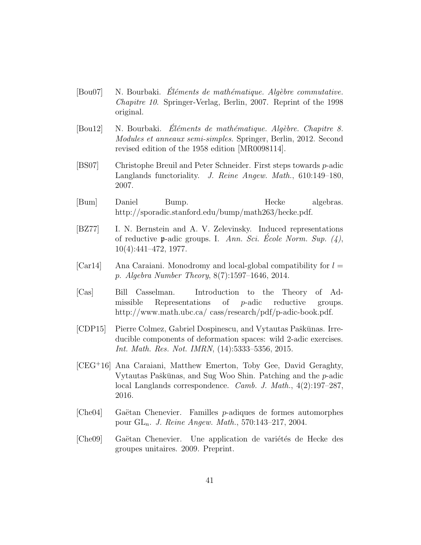- $[Bound7]$  N. Bourbaki. Eléments de mathématique. Algèbre commutative. Chapitre 10. Springer-Verlag, Berlin, 2007. Reprint of the 1998 original.
- $[Bou12]$  N. Bourbaki. Eléments de mathématique. Algèbre. Chapitre 8. Modules et anneaux semi-simples. Springer, Berlin, 2012. Second revised edition of the 1958 edition [MR0098114].
- <span id="page-40-1"></span>[BS07] Christophe Breuil and Peter Schneider. First steps towards p-adic Langlands functoriality. J. Reine Angew. Math., 610:149–180, 2007.
- <span id="page-40-3"></span>[Bum] Daniel Bump. Hecke algebras. http://sporadic.stanford.edu/bump/math263/hecke.pdf.
- [BZ77] I. N. Bernstein and A. V. Zelevinsky. Induced representations of reductive **p**-adic groups. I. Ann. Sci. Ecole Norm. Sup.  $(4)$ , 10(4):441–472, 1977.
- <span id="page-40-4"></span> $[Car14]$  Ana Caraiani. Monodromy and local-global compatibility for  $l =$ p. Algebra Number Theory, 8(7):1597–1646, 2014.
- [Cas] Bill Casselman. Introduction to the Theory of Admissible Representations of p-adic reductive groups. http://www.math.ubc.ca/ cass/research/pdf/p-adic-book.pdf.
- [CDP15] Pierre Colmez, Gabriel Dospinescu, and Vytautas Paškūnas. Irreducible components of deformation spaces: wild 2-adic exercises. Int. Math. Res. Not. IMRN, (14):5333–5356, 2015.
- <span id="page-40-0"></span>[CEG<sup>+</sup>16] Ana Caraiani, Matthew Emerton, Toby Gee, David Geraghty, Vytautas Paškūnas, and Sug Woo Shin. Patching and the  $p$ -adic local Langlands correspondence. Camb. J. Math., 4(2):197–287, 2016.
- [Che04] Gaëtan Chenevier. Familles p-adiques de formes automorphes pour  $GL_n$ . *J. Reine Angew. Math.*, 570:143–217, 2004.
- <span id="page-40-2"></span>[Che09] Gaëtan Chenevier. Une application de variétés de Hecke des groupes unitaires. 2009. Preprint.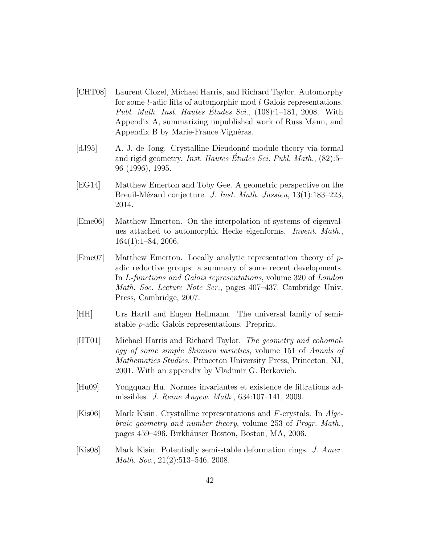- [CHT08] Laurent Clozel, Michael Harris, and Richard Taylor. Automorphy for some *l*-adic lifts of automorphic mod *l* Galois representations. Publ. Math. Inst. Hautes Etudes Sci.,  $(108):1-181$ , 2008. With Appendix A, summarizing unpublished work of Russ Mann, and Appendix B by Marie-France Vignéras.
- <span id="page-41-3"></span>[dJ95] A. J. de Jong. Crystalline Dieudonn´e module theory via formal and rigid geometry. *Inst. Hautes Études Sci. Publ. Math.*,  $(82):5$ – 96 (1996), 1995.
- <span id="page-41-5"></span>[EG14] Matthew Emerton and Toby Gee. A geometric perspective on the Breuil-Mézard conjecture. J. Inst. Math. Jussieu, 13(1):183–223, 2014.
- <span id="page-41-4"></span>[Eme06] Matthew Emerton. On the interpolation of systems of eigenvalues attached to automorphic Hecke eigenforms. Invent. Math.,  $164(1):1-84, 2006.$
- $[Eme07]$  Matthew Emerton. Locally analytic representation theory of padic reductive groups: a summary of some recent developments. In L-functions and Galois representations, volume 320 of London Math. Soc. Lecture Note Ser., pages 407–437. Cambridge Univ. Press, Cambridge, 2007.
- [HH] Urs Hartl and Eugen Hellmann. The universal family of semistable p-adic Galois representations. Preprint.
- <span id="page-41-0"></span>[HT01] Michael Harris and Richard Taylor. The geometry and cohomology of some simple Shimura varieties, volume 151 of Annals of Mathematics Studies. Princeton University Press, Princeton, NJ, 2001. With an appendix by Vladimir G. Berkovich.
- <span id="page-41-1"></span>[Hu09] Yongquan Hu. Normes invariantes et existence de filtrations admissibles. J. Reine Angew. Math., 634:107–141, 2009.
- [Kis06] Mark Kisin. Crystalline representations and F-crystals. In Algebraic geometry and number theory, volume 253 of Progr. Math., pages 459–496. Birkh¨auser Boston, Boston, MA, 2006.
- <span id="page-41-2"></span>[Kis08] Mark Kisin. Potentially semi-stable deformation rings. J. Amer. Math. Soc., 21(2):513-546, 2008.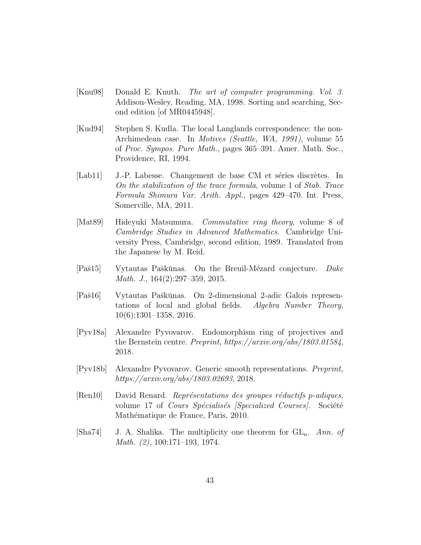- <span id="page-42-3"></span>[Knu98] Donald E. Knuth. The art of computer programming. Vol. 3. Addison-Wesley, Reading, MA, 1998. Sorting and searching, Second edition [of MR0445948].
- <span id="page-42-2"></span>[Kud94] Stephen S. Kudla. The local Langlands correspondence: the non-Archimedean case. In Motives (Seattle, WA, 1991), volume 55 of Proc. Sympos. Pure Math., pages 365–391. Amer. Math. Soc., Providence, RI, 1994.
- <span id="page-42-5"></span>[Lab11] J.-P. Labesse. Changement de base CM et séries discrètes. In On the stabilization of the trace formula, volume 1 of Stab. Trace Formula Shimura Var. Arith. Appl., pages 429–470. Int. Press, Somerville, MA, 2011.
- <span id="page-42-7"></span>[Mat89] Hideyuki Matsumura. Commutative ring theory, volume 8 of Cambridge Studies in Advanced Mathematics. Cambridge University Press, Cambridge, second edition, 1989. Translated from the Japanese by M. Reid.
- <span id="page-42-4"></span>[Paš15] Vytautas Paškūnas. On the Breuil-Mézard conjecture. Duke Math. J., 164(2):297–359, 2015.
- <span id="page-42-8"></span>[Paˇs16] Vytautas Paˇsk¯unas. On 2-dimensional 2-adic Galois representations of local and global fields. Algebra Number Theory, 10(6):1301–1358, 2016.
- <span id="page-42-0"></span>[Pyv18a] Alexandre Pyvovarov. Endomorphism ring of projectives and the Bernstein centre. Preprint, https://arxiv.org/abs/1803.01584, 2018.
- <span id="page-42-1"></span>[Pyv18b] Alexandre Pyvovarov. Generic smooth representations. Preprint, https://arxiv.org/abs/1803.02693, 2018.
- $\lvert \text{Ren10} \rvert$  David Renard. Représentations des groupes réductifs p-adiques, volume 17 of Cours Spécialisés *[Specialized Courses]*. Société Mathématique de France, Paris, 2010.
- <span id="page-42-6"></span>[Sha74] J. A. Shalika. The multiplicity one theorem for  $GL_n$ . Ann. of Math. (2), 100:171–193, 1974.